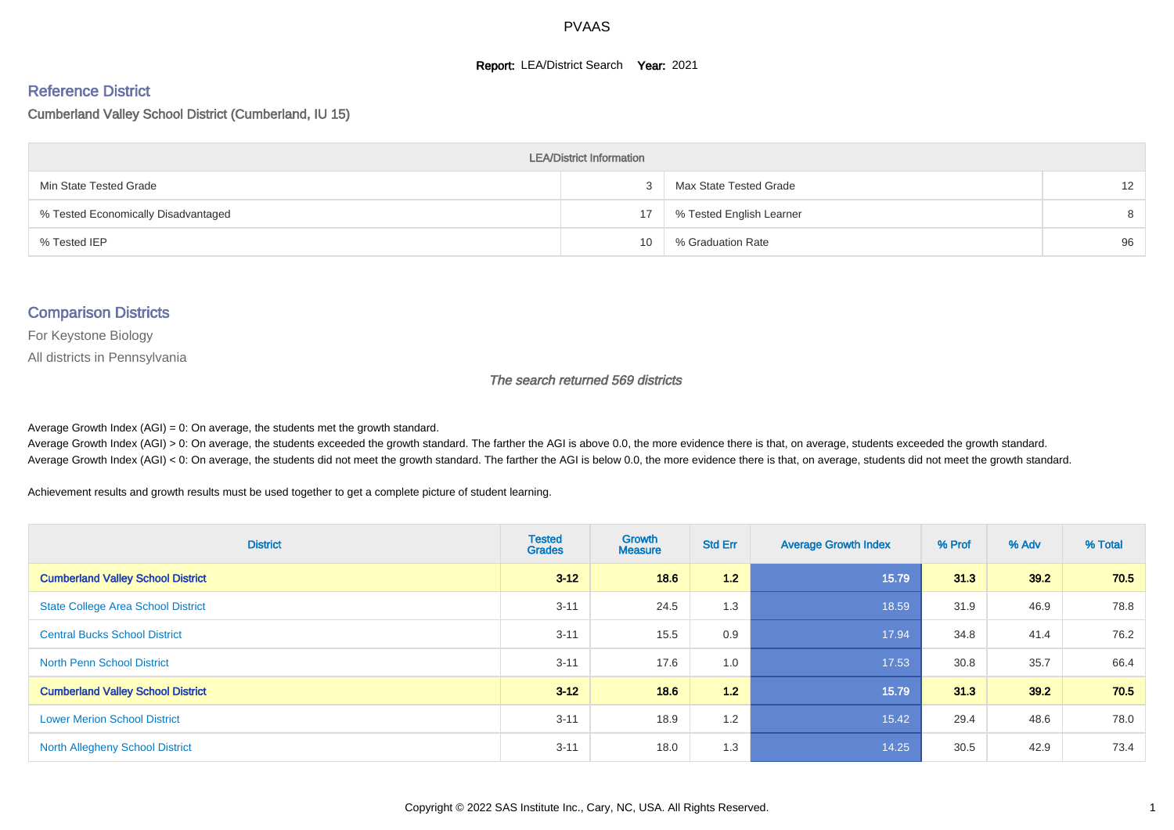#### **Report: LEA/District Search Year: 2021**

#### Reference District

#### Cumberland Valley School District (Cumberland, IU 15)

| <b>LEA/District Information</b>     |    |                          |                   |  |  |  |  |  |  |  |
|-------------------------------------|----|--------------------------|-------------------|--|--|--|--|--|--|--|
| Min State Tested Grade              |    | Max State Tested Grade   | $12 \overline{ }$ |  |  |  |  |  |  |  |
| % Tested Economically Disadvantaged | 17 | % Tested English Learner | 8                 |  |  |  |  |  |  |  |
| % Tested IEP                        | 10 | % Graduation Rate        | 96                |  |  |  |  |  |  |  |

#### Comparison Districts

For Keystone Biology

All districts in Pennsylvania

The search returned 569 districts

Average Growth Index  $(AGI) = 0$ : On average, the students met the growth standard.

Average Growth Index (AGI) > 0: On average, the students exceeded the growth standard. The farther the AGI is above 0.0, the more evidence there is that, on average, students exceeded the growth standard. Average Growth Index (AGI) < 0: On average, the students did not meet the growth standard. The farther the AGI is below 0.0, the more evidence there is that, on average, students did not meet the growth standard.

Achievement results and growth results must be used together to get a complete picture of student learning.

| <b>District</b>                           | <b>Tested</b><br><b>Grades</b> | <b>Growth</b><br><b>Measure</b> | <b>Std Err</b> | <b>Average Growth Index</b> | % Prof | % Adv | % Total |
|-------------------------------------------|--------------------------------|---------------------------------|----------------|-----------------------------|--------|-------|---------|
| <b>Cumberland Valley School District</b>  | $3 - 12$                       | 18.6                            | 1.2            | 15.79                       | 31.3   | 39.2  | 70.5    |
| <b>State College Area School District</b> | $3 - 11$                       | 24.5                            | 1.3            | 18.59                       | 31.9   | 46.9  | 78.8    |
| <b>Central Bucks School District</b>      | $3 - 11$                       | 15.5                            | 0.9            | 17.94                       | 34.8   | 41.4  | 76.2    |
| <b>North Penn School District</b>         | $3 - 11$                       | 17.6                            | 1.0            | 17.53                       | 30.8   | 35.7  | 66.4    |
| <b>Cumberland Valley School District</b>  | $3 - 12$                       | 18.6                            | 1.2            | 15.79                       | 31.3   | 39.2  | 70.5    |
| <b>Lower Merion School District</b>       | $3 - 11$                       | 18.9                            | 1.2            | 15.42                       | 29.4   | 48.6  | 78.0    |
| <b>North Allegheny School District</b>    | $3 - 11$                       | 18.0                            | 1.3            | 14.25                       | 30.5   | 42.9  | 73.4    |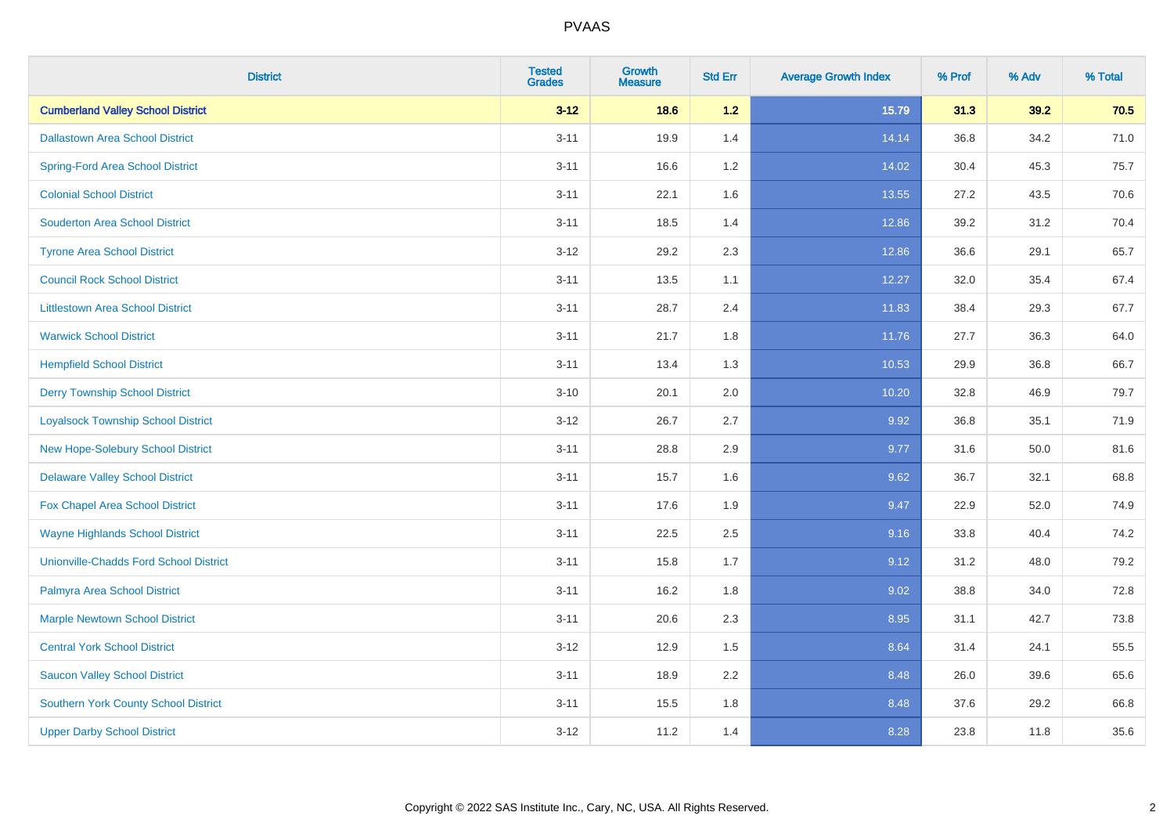| <b>District</b>                               | <b>Tested</b><br><b>Grades</b> | <b>Growth</b><br><b>Measure</b> | <b>Std Err</b> | <b>Average Growth Index</b> | % Prof | % Adv | % Total |
|-----------------------------------------------|--------------------------------|---------------------------------|----------------|-----------------------------|--------|-------|---------|
| <b>Cumberland Valley School District</b>      | $3 - 12$                       | 18.6                            | 1.2            | 15.79                       | 31.3   | 39.2  | 70.5    |
| <b>Dallastown Area School District</b>        | $3 - 11$                       | 19.9                            | 1.4            | 14.14                       | 36.8   | 34.2  | 71.0    |
| <b>Spring-Ford Area School District</b>       | $3 - 11$                       | 16.6                            | 1.2            | 14.02                       | 30.4   | 45.3  | 75.7    |
| <b>Colonial School District</b>               | $3 - 11$                       | 22.1                            | 1.6            | 13.55                       | 27.2   | 43.5  | 70.6    |
| <b>Souderton Area School District</b>         | $3 - 11$                       | 18.5                            | 1.4            | 12.86                       | 39.2   | 31.2  | 70.4    |
| <b>Tyrone Area School District</b>            | $3 - 12$                       | 29.2                            | 2.3            | 12.86                       | 36.6   | 29.1  | 65.7    |
| <b>Council Rock School District</b>           | $3 - 11$                       | 13.5                            | 1.1            | 12.27                       | 32.0   | 35.4  | 67.4    |
| <b>Littlestown Area School District</b>       | $3 - 11$                       | 28.7                            | 2.4            | 11.83                       | 38.4   | 29.3  | 67.7    |
| <b>Warwick School District</b>                | $3 - 11$                       | 21.7                            | 1.8            | 11.76                       | 27.7   | 36.3  | 64.0    |
| <b>Hempfield School District</b>              | $3 - 11$                       | 13.4                            | 1.3            | 10.53                       | 29.9   | 36.8  | 66.7    |
| <b>Derry Township School District</b>         | $3 - 10$                       | 20.1                            | 2.0            | 10.20                       | 32.8   | 46.9  | 79.7    |
| <b>Loyalsock Township School District</b>     | $3-12$                         | 26.7                            | 2.7            | 9.92                        | 36.8   | 35.1  | 71.9    |
| New Hope-Solebury School District             | $3 - 11$                       | 28.8                            | 2.9            | 9.77                        | 31.6   | 50.0  | 81.6    |
| <b>Delaware Valley School District</b>        | $3 - 11$                       | 15.7                            | 1.6            | 9.62                        | 36.7   | 32.1  | 68.8    |
| Fox Chapel Area School District               | $3 - 11$                       | 17.6                            | 1.9            | 9.47                        | 22.9   | 52.0  | 74.9    |
| <b>Wayne Highlands School District</b>        | $3 - 11$                       | 22.5                            | 2.5            | 9.16                        | 33.8   | 40.4  | 74.2    |
| <b>Unionville-Chadds Ford School District</b> | $3 - 11$                       | 15.8                            | 1.7            | 9.12                        | 31.2   | 48.0  | 79.2    |
| Palmyra Area School District                  | $3 - 11$                       | 16.2                            | 1.8            | 9.02                        | 38.8   | 34.0  | 72.8    |
| <b>Marple Newtown School District</b>         | $3 - 11$                       | 20.6                            | 2.3            | 8.95                        | 31.1   | 42.7  | 73.8    |
| <b>Central York School District</b>           | $3 - 12$                       | 12.9                            | 1.5            | 8.64                        | 31.4   | 24.1  | 55.5    |
| <b>Saucon Valley School District</b>          | $3 - 11$                       | 18.9                            | 2.2            | 8.48                        | 26.0   | 39.6  | 65.6    |
| <b>Southern York County School District</b>   | $3 - 11$                       | 15.5                            | 1.8            | 8.48                        | 37.6   | 29.2  | 66.8    |
| <b>Upper Darby School District</b>            | $3 - 12$                       | 11.2                            | 1.4            | 8.28                        | 23.8   | 11.8  | 35.6    |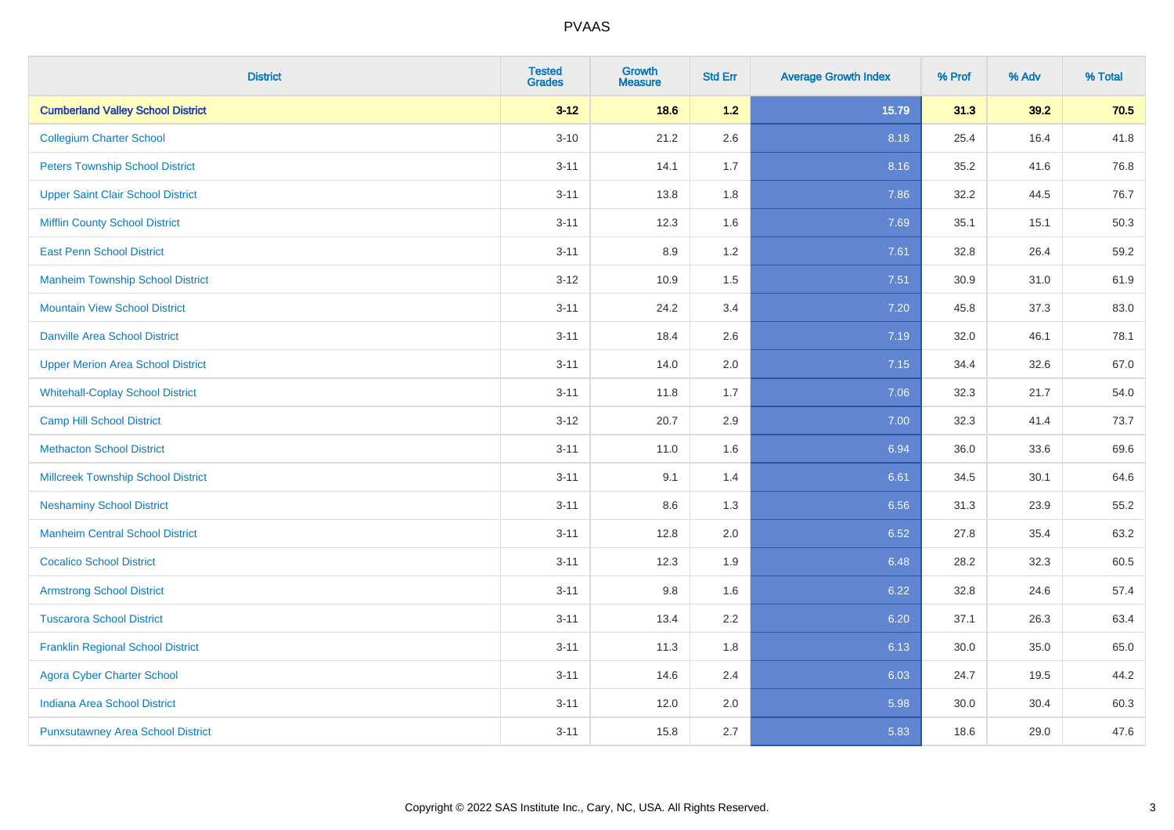| <b>District</b>                           | <b>Tested</b><br><b>Grades</b> | <b>Growth</b><br><b>Measure</b> | <b>Std Err</b> | <b>Average Growth Index</b> | % Prof | % Adv | % Total |
|-------------------------------------------|--------------------------------|---------------------------------|----------------|-----------------------------|--------|-------|---------|
| <b>Cumberland Valley School District</b>  | $3 - 12$                       | 18.6                            | $1.2$          | 15.79                       | 31.3   | 39.2  | 70.5    |
| <b>Collegium Charter School</b>           | $3 - 10$                       | 21.2                            | 2.6            | 8.18                        | 25.4   | 16.4  | 41.8    |
| <b>Peters Township School District</b>    | $3 - 11$                       | 14.1                            | 1.7            | 8.16                        | 35.2   | 41.6  | 76.8    |
| <b>Upper Saint Clair School District</b>  | $3 - 11$                       | 13.8                            | 1.8            | 7.86                        | 32.2   | 44.5  | 76.7    |
| <b>Mifflin County School District</b>     | $3 - 11$                       | 12.3                            | 1.6            | 7.69                        | 35.1   | 15.1  | 50.3    |
| <b>East Penn School District</b>          | $3 - 11$                       | 8.9                             | 1.2            | 7.61                        | 32.8   | 26.4  | 59.2    |
| <b>Manheim Township School District</b>   | $3 - 12$                       | 10.9                            | 1.5            | 7.51                        | 30.9   | 31.0  | 61.9    |
| <b>Mountain View School District</b>      | $3 - 11$                       | 24.2                            | 3.4            | 7.20                        | 45.8   | 37.3  | 83.0    |
| <b>Danville Area School District</b>      | $3 - 11$                       | 18.4                            | 2.6            | 7.19                        | 32.0   | 46.1  | 78.1    |
| <b>Upper Merion Area School District</b>  | $3 - 11$                       | 14.0                            | 2.0            | 7.15                        | 34.4   | 32.6  | 67.0    |
| <b>Whitehall-Coplay School District</b>   | $3 - 11$                       | 11.8                            | 1.7            | 7.06                        | 32.3   | 21.7  | 54.0    |
| <b>Camp Hill School District</b>          | $3 - 12$                       | 20.7                            | 2.9            | 7.00                        | 32.3   | 41.4  | 73.7    |
| <b>Methacton School District</b>          | $3 - 11$                       | 11.0                            | 1.6            | 6.94                        | 36.0   | 33.6  | 69.6    |
| <b>Millcreek Township School District</b> | $3 - 11$                       | 9.1                             | 1.4            | 6.61                        | 34.5   | 30.1  | 64.6    |
| <b>Neshaminy School District</b>          | $3 - 11$                       | 8.6                             | 1.3            | 6.56                        | 31.3   | 23.9  | 55.2    |
| <b>Manheim Central School District</b>    | $3 - 11$                       | 12.8                            | 2.0            | 6.52                        | 27.8   | 35.4  | 63.2    |
| <b>Cocalico School District</b>           | $3 - 11$                       | 12.3                            | 1.9            | 6.48                        | 28.2   | 32.3  | 60.5    |
| <b>Armstrong School District</b>          | $3 - 11$                       | 9.8                             | 1.6            | 6.22                        | 32.8   | 24.6  | 57.4    |
| <b>Tuscarora School District</b>          | $3 - 11$                       | 13.4                            | 2.2            | 6.20                        | 37.1   | 26.3  | 63.4    |
| <b>Franklin Regional School District</b>  | $3 - 11$                       | 11.3                            | 1.8            | 6.13                        | 30.0   | 35.0  | 65.0    |
| <b>Agora Cyber Charter School</b>         | $3 - 11$                       | 14.6                            | 2.4            | 6.03                        | 24.7   | 19.5  | 44.2    |
| <b>Indiana Area School District</b>       | $3 - 11$                       | 12.0                            | 2.0            | 5.98                        | 30.0   | 30.4  | 60.3    |
| <b>Punxsutawney Area School District</b>  | $3 - 11$                       | 15.8                            | 2.7            | 5.83                        | 18.6   | 29.0  | 47.6    |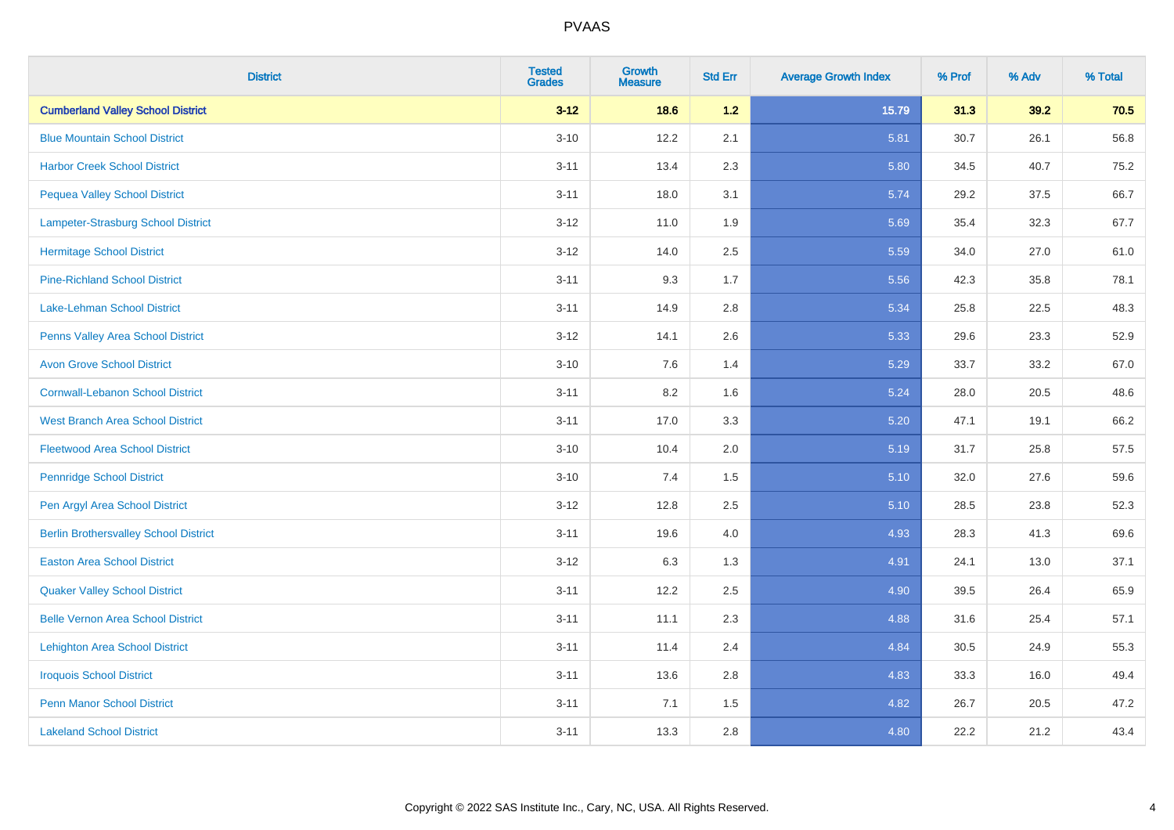| <b>District</b>                              | <b>Tested</b><br><b>Grades</b> | <b>Growth</b><br><b>Measure</b> | <b>Std Err</b> | <b>Average Growth Index</b> | % Prof | % Adv | % Total |
|----------------------------------------------|--------------------------------|---------------------------------|----------------|-----------------------------|--------|-------|---------|
| <b>Cumberland Valley School District</b>     | $3 - 12$                       | 18.6                            | 1.2            | 15.79                       | 31.3   | 39.2  | 70.5    |
| <b>Blue Mountain School District</b>         | $3 - 10$                       | 12.2                            | 2.1            | 5.81                        | 30.7   | 26.1  | 56.8    |
| <b>Harbor Creek School District</b>          | $3 - 11$                       | 13.4                            | 2.3            | 5.80                        | 34.5   | 40.7  | 75.2    |
| <b>Pequea Valley School District</b>         | $3 - 11$                       | 18.0                            | 3.1            | 5.74                        | 29.2   | 37.5  | 66.7    |
| Lampeter-Strasburg School District           | $3 - 12$                       | 11.0                            | 1.9            | 5.69                        | 35.4   | 32.3  | 67.7    |
| <b>Hermitage School District</b>             | $3 - 12$                       | 14.0                            | 2.5            | 5.59                        | 34.0   | 27.0  | 61.0    |
| <b>Pine-Richland School District</b>         | $3 - 11$                       | 9.3                             | 1.7            | 5.56                        | 42.3   | 35.8  | 78.1    |
| Lake-Lehman School District                  | $3 - 11$                       | 14.9                            | 2.8            | 5.34                        | 25.8   | 22.5  | 48.3    |
| Penns Valley Area School District            | $3 - 12$                       | 14.1                            | 2.6            | 5.33                        | 29.6   | 23.3  | 52.9    |
| <b>Avon Grove School District</b>            | $3 - 10$                       | 7.6                             | 1.4            | 5.29                        | 33.7   | 33.2  | 67.0    |
| <b>Cornwall-Lebanon School District</b>      | $3 - 11$                       | 8.2                             | 1.6            | 5.24                        | 28.0   | 20.5  | 48.6    |
| <b>West Branch Area School District</b>      | $3 - 11$                       | 17.0                            | 3.3            | 5.20                        | 47.1   | 19.1  | 66.2    |
| <b>Fleetwood Area School District</b>        | $3 - 10$                       | 10.4                            | 2.0            | 5.19                        | 31.7   | 25.8  | 57.5    |
| <b>Pennridge School District</b>             | $3 - 10$                       | 7.4                             | 1.5            | 5.10                        | 32.0   | 27.6  | 59.6    |
| Pen Argyl Area School District               | $3 - 12$                       | 12.8                            | 2.5            | 5.10                        | 28.5   | 23.8  | 52.3    |
| <b>Berlin Brothersvalley School District</b> | $3 - 11$                       | 19.6                            | 4.0            | 4.93                        | 28.3   | 41.3  | 69.6    |
| <b>Easton Area School District</b>           | $3 - 12$                       | 6.3                             | 1.3            | 4.91                        | 24.1   | 13.0  | 37.1    |
| <b>Quaker Valley School District</b>         | $3 - 11$                       | 12.2                            | 2.5            | 4.90                        | 39.5   | 26.4  | 65.9    |
| <b>Belle Vernon Area School District</b>     | $3 - 11$                       | 11.1                            | 2.3            | 4.88                        | 31.6   | 25.4  | 57.1    |
| <b>Lehighton Area School District</b>        | $3 - 11$                       | 11.4                            | 2.4            | 4.84                        | 30.5   | 24.9  | 55.3    |
| <b>Iroquois School District</b>              | $3 - 11$                       | 13.6                            | 2.8            | 4.83                        | 33.3   | 16.0  | 49.4    |
| <b>Penn Manor School District</b>            | $3 - 11$                       | 7.1                             | 1.5            | 4.82                        | 26.7   | 20.5  | 47.2    |
| <b>Lakeland School District</b>              | $3 - 11$                       | 13.3                            | 2.8            | 4.80                        | 22.2   | 21.2  | 43.4    |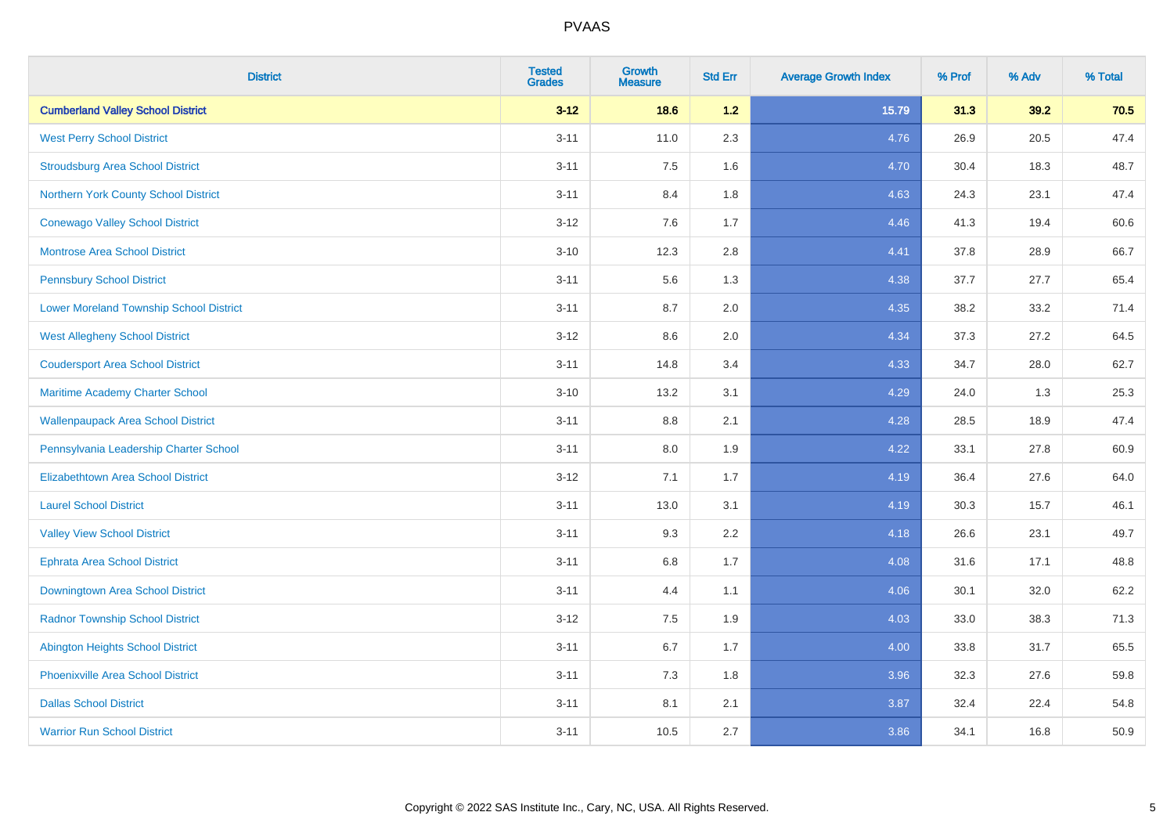| <b>District</b>                                | <b>Tested</b><br><b>Grades</b> | <b>Growth</b><br><b>Measure</b> | <b>Std Err</b> | <b>Average Growth Index</b> | % Prof | % Adv | % Total |
|------------------------------------------------|--------------------------------|---------------------------------|----------------|-----------------------------|--------|-------|---------|
| <b>Cumberland Valley School District</b>       | $3 - 12$                       | 18.6                            | $1.2$          | 15.79                       | 31.3   | 39.2  | 70.5    |
| <b>West Perry School District</b>              | $3 - 11$                       | 11.0                            | 2.3            | 4.76                        | 26.9   | 20.5  | 47.4    |
| <b>Stroudsburg Area School District</b>        | $3 - 11$                       | 7.5                             | 1.6            | 4.70                        | 30.4   | 18.3  | 48.7    |
| Northern York County School District           | $3 - 11$                       | 8.4                             | 1.8            | 4.63                        | 24.3   | 23.1  | 47.4    |
| <b>Conewago Valley School District</b>         | $3 - 12$                       | 7.6                             | 1.7            | 4.46                        | 41.3   | 19.4  | 60.6    |
| <b>Montrose Area School District</b>           | $3 - 10$                       | 12.3                            | 2.8            | 4.41                        | 37.8   | 28.9  | 66.7    |
| <b>Pennsbury School District</b>               | $3 - 11$                       | 5.6                             | 1.3            | 4.38                        | 37.7   | 27.7  | 65.4    |
| <b>Lower Moreland Township School District</b> | $3 - 11$                       | 8.7                             | 2.0            | 4.35                        | 38.2   | 33.2  | 71.4    |
| <b>West Allegheny School District</b>          | $3 - 12$                       | 8.6                             | 2.0            | 4.34                        | 37.3   | 27.2  | 64.5    |
| <b>Coudersport Area School District</b>        | $3 - 11$                       | 14.8                            | 3.4            | 4.33                        | 34.7   | 28.0  | 62.7    |
| Maritime Academy Charter School                | $3 - 10$                       | 13.2                            | 3.1            | 4.29                        | 24.0   | 1.3   | 25.3    |
| <b>Wallenpaupack Area School District</b>      | $3 - 11$                       | $8.8\,$                         | 2.1            | 4.28                        | 28.5   | 18.9  | 47.4    |
| Pennsylvania Leadership Charter School         | $3 - 11$                       | 8.0                             | 1.9            | 4.22                        | 33.1   | 27.8  | 60.9    |
| <b>Elizabethtown Area School District</b>      | $3 - 12$                       | 7.1                             | 1.7            | 4.19                        | 36.4   | 27.6  | 64.0    |
| <b>Laurel School District</b>                  | $3 - 11$                       | 13.0                            | 3.1            | 4.19                        | 30.3   | 15.7  | 46.1    |
| <b>Valley View School District</b>             | $3 - 11$                       | 9.3                             | 2.2            | 4.18                        | 26.6   | 23.1  | 49.7    |
| <b>Ephrata Area School District</b>            | $3 - 11$                       | $6.8\,$                         | 1.7            | 4.08                        | 31.6   | 17.1  | 48.8    |
| Downingtown Area School District               | $3 - 11$                       | 4.4                             | 1.1            | 4.06                        | 30.1   | 32.0  | 62.2    |
| <b>Radnor Township School District</b>         | $3 - 12$                       | 7.5                             | 1.9            | 4.03                        | 33.0   | 38.3  | 71.3    |
| <b>Abington Heights School District</b>        | $3 - 11$                       | 6.7                             | 1.7            | 4.00                        | 33.8   | 31.7  | 65.5    |
| Phoenixville Area School District              | $3 - 11$                       | 7.3                             | 1.8            | 3.96                        | 32.3   | 27.6  | 59.8    |
| <b>Dallas School District</b>                  | $3 - 11$                       | 8.1                             | 2.1            | 3.87                        | 32.4   | 22.4  | 54.8    |
| <b>Warrior Run School District</b>             | $3 - 11$                       | 10.5                            | 2.7            | 3.86                        | 34.1   | 16.8  | 50.9    |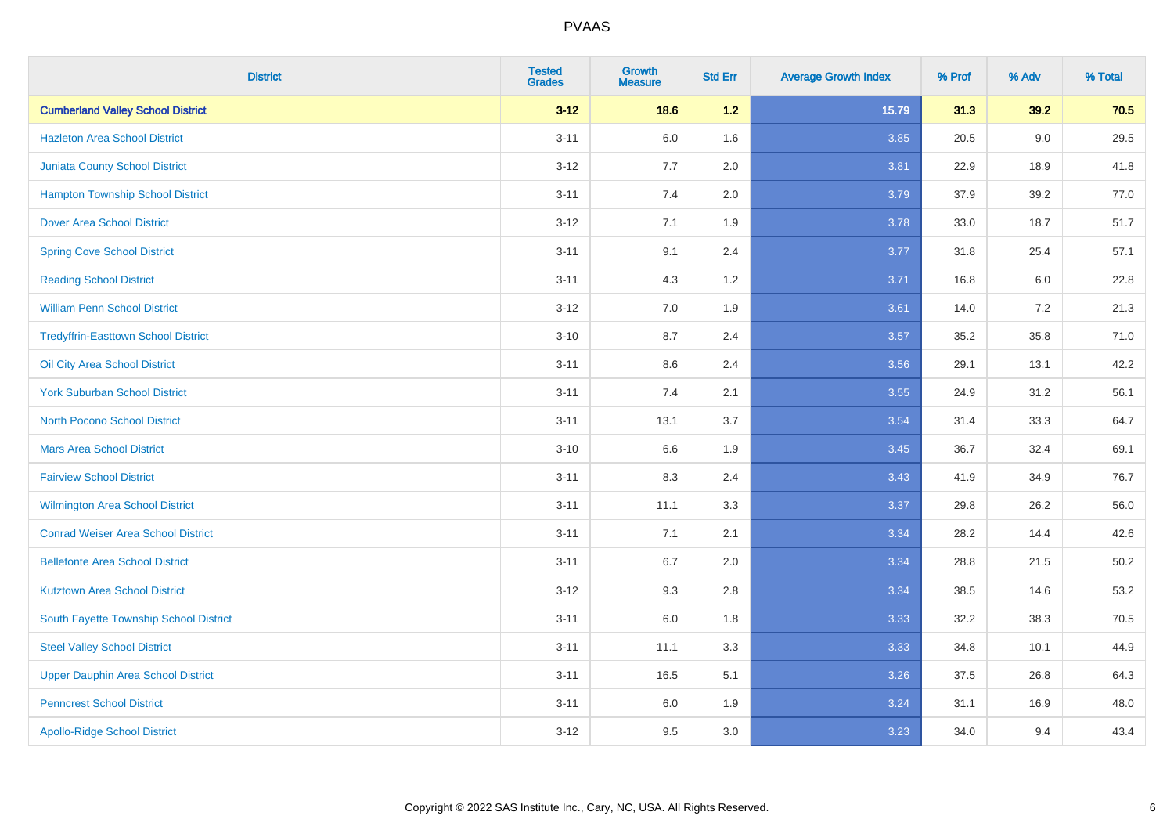| <b>District</b>                            | <b>Tested</b><br><b>Grades</b> | <b>Growth</b><br><b>Measure</b> | <b>Std Err</b> | <b>Average Growth Index</b> | % Prof | % Adv   | % Total |
|--------------------------------------------|--------------------------------|---------------------------------|----------------|-----------------------------|--------|---------|---------|
| <b>Cumberland Valley School District</b>   | $3 - 12$                       | 18.6                            | $1.2$          | 15.79                       | 31.3   | 39.2    | 70.5    |
| <b>Hazleton Area School District</b>       | $3 - 11$                       | 6.0                             | 1.6            | 3.85                        | 20.5   | 9.0     | 29.5    |
| <b>Juniata County School District</b>      | $3 - 12$                       | 7.7                             | 2.0            | 3.81                        | 22.9   | 18.9    | 41.8    |
| <b>Hampton Township School District</b>    | $3 - 11$                       | 7.4                             | 2.0            | 3.79                        | 37.9   | 39.2    | 77.0    |
| <b>Dover Area School District</b>          | $3 - 12$                       | 7.1                             | 1.9            | 3.78                        | 33.0   | 18.7    | 51.7    |
| <b>Spring Cove School District</b>         | $3 - 11$                       | 9.1                             | 2.4            | 3.77                        | 31.8   | 25.4    | 57.1    |
| <b>Reading School District</b>             | $3 - 11$                       | 4.3                             | 1.2            | 3.71                        | 16.8   | $6.0\,$ | 22.8    |
| <b>William Penn School District</b>        | $3 - 12$                       | 7.0                             | 1.9            | 3.61                        | 14.0   | 7.2     | 21.3    |
| <b>Tredyffrin-Easttown School District</b> | $3 - 10$                       | 8.7                             | 2.4            | 3.57                        | 35.2   | 35.8    | 71.0    |
| Oil City Area School District              | $3 - 11$                       | 8.6                             | 2.4            | 3.56                        | 29.1   | 13.1    | 42.2    |
| <b>York Suburban School District</b>       | $3 - 11$                       | 7.4                             | 2.1            | 3.55                        | 24.9   | 31.2    | 56.1    |
| <b>North Pocono School District</b>        | $3 - 11$                       | 13.1                            | 3.7            | 3.54                        | 31.4   | 33.3    | 64.7    |
| <b>Mars Area School District</b>           | $3 - 10$                       | 6.6                             | 1.9            | 3.45                        | 36.7   | 32.4    | 69.1    |
| <b>Fairview School District</b>            | $3 - 11$                       | 8.3                             | 2.4            | 3.43                        | 41.9   | 34.9    | 76.7    |
| <b>Wilmington Area School District</b>     | $3 - 11$                       | 11.1                            | 3.3            | 3.37                        | 29.8   | 26.2    | 56.0    |
| <b>Conrad Weiser Area School District</b>  | $3 - 11$                       | 7.1                             | 2.1            | 3.34                        | 28.2   | 14.4    | 42.6    |
| <b>Bellefonte Area School District</b>     | $3 - 11$                       | 6.7                             | 2.0            | 3.34                        | 28.8   | 21.5    | 50.2    |
| <b>Kutztown Area School District</b>       | $3 - 12$                       | 9.3                             | 2.8            | 3.34                        | 38.5   | 14.6    | 53.2    |
| South Fayette Township School District     | $3 - 11$                       | 6.0                             | 1.8            | 3.33                        | 32.2   | 38.3    | 70.5    |
| <b>Steel Valley School District</b>        | $3 - 11$                       | 11.1                            | 3.3            | 3.33                        | 34.8   | 10.1    | 44.9    |
| <b>Upper Dauphin Area School District</b>  | $3 - 11$                       | 16.5                            | 5.1            | 3.26                        | 37.5   | 26.8    | 64.3    |
| <b>Penncrest School District</b>           | $3 - 11$                       | 6.0                             | 1.9            | 3.24                        | 31.1   | 16.9    | 48.0    |
| <b>Apollo-Ridge School District</b>        | $3 - 12$                       | 9.5                             | 3.0            | 3.23                        | 34.0   | 9.4     | 43.4    |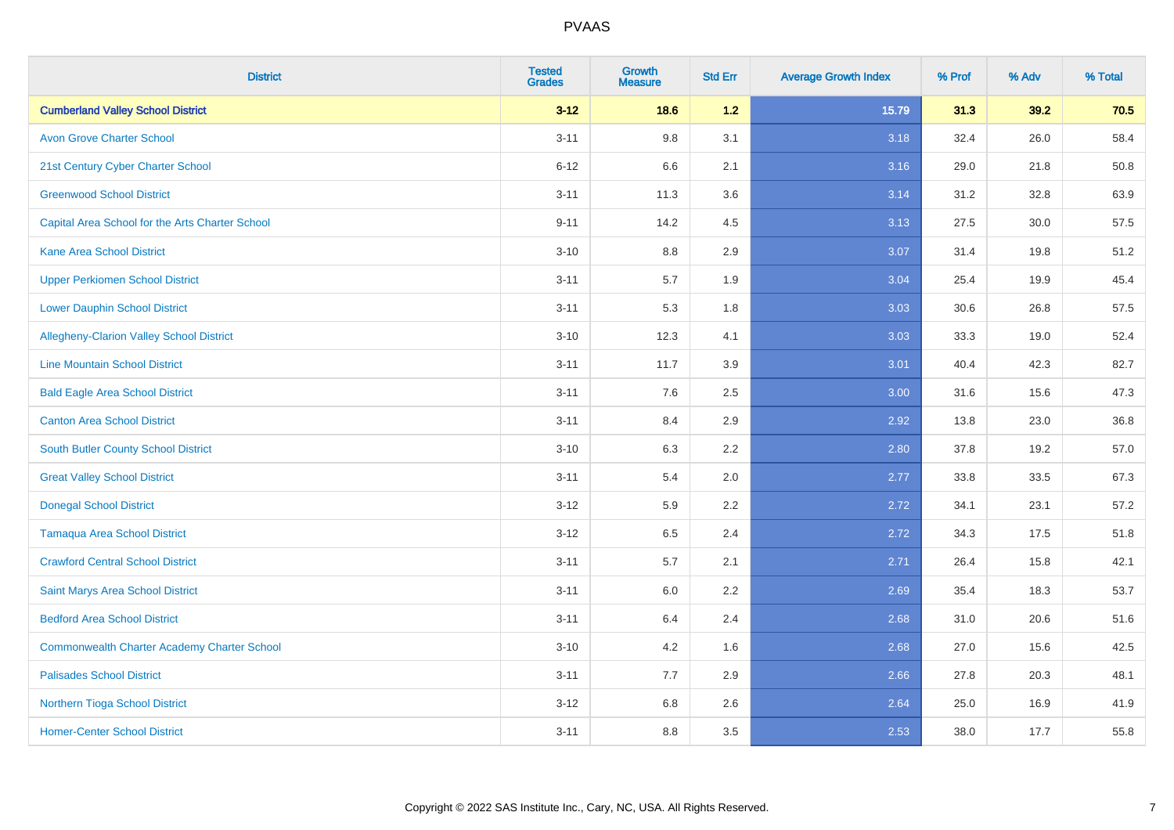| <b>District</b>                                    | <b>Tested</b><br><b>Grades</b> | <b>Growth</b><br><b>Measure</b> | <b>Std Err</b> | <b>Average Growth Index</b> | % Prof | % Adv | % Total |
|----------------------------------------------------|--------------------------------|---------------------------------|----------------|-----------------------------|--------|-------|---------|
| <b>Cumberland Valley School District</b>           | $3 - 12$                       | 18.6                            | $1.2$          | 15.79                       | 31.3   | 39.2  | 70.5    |
| <b>Avon Grove Charter School</b>                   | $3 - 11$                       | 9.8                             | 3.1            | 3.18                        | 32.4   | 26.0  | 58.4    |
| 21st Century Cyber Charter School                  | $6 - 12$                       | 6.6                             | 2.1            | 3.16                        | 29.0   | 21.8  | 50.8    |
| <b>Greenwood School District</b>                   | $3 - 11$                       | 11.3                            | 3.6            | 3.14                        | 31.2   | 32.8  | 63.9    |
| Capital Area School for the Arts Charter School    | $9 - 11$                       | 14.2                            | 4.5            | 3.13                        | 27.5   | 30.0  | 57.5    |
| <b>Kane Area School District</b>                   | $3 - 10$                       | 8.8                             | 2.9            | 3.07                        | 31.4   | 19.8  | 51.2    |
| <b>Upper Perkiomen School District</b>             | $3 - 11$                       | 5.7                             | 1.9            | 3.04                        | 25.4   | 19.9  | 45.4    |
| <b>Lower Dauphin School District</b>               | $3 - 11$                       | 5.3                             | 1.8            | 3.03                        | 30.6   | 26.8  | 57.5    |
| Allegheny-Clarion Valley School District           | $3 - 10$                       | 12.3                            | 4.1            | 3.03                        | 33.3   | 19.0  | 52.4    |
| <b>Line Mountain School District</b>               | $3 - 11$                       | 11.7                            | 3.9            | 3.01                        | 40.4   | 42.3  | 82.7    |
| <b>Bald Eagle Area School District</b>             | $3 - 11$                       | 7.6                             | 2.5            | 3.00                        | 31.6   | 15.6  | 47.3    |
| <b>Canton Area School District</b>                 | $3 - 11$                       | 8.4                             | 2.9            | 2.92                        | 13.8   | 23.0  | 36.8    |
| South Butler County School District                | $3 - 10$                       | 6.3                             | 2.2            | 2.80                        | 37.8   | 19.2  | 57.0    |
| <b>Great Valley School District</b>                | $3 - 11$                       | 5.4                             | 2.0            | 2.77                        | 33.8   | 33.5  | 67.3    |
| <b>Donegal School District</b>                     | $3 - 12$                       | 5.9                             | 2.2            | 2.72                        | 34.1   | 23.1  | 57.2    |
| <b>Tamaqua Area School District</b>                | $3 - 12$                       | 6.5                             | 2.4            | 2.72                        | 34.3   | 17.5  | 51.8    |
| <b>Crawford Central School District</b>            | $3 - 11$                       | 5.7                             | 2.1            | 2.71                        | 26.4   | 15.8  | 42.1    |
| Saint Marys Area School District                   | $3 - 11$                       | 6.0                             | 2.2            | 2.69                        | 35.4   | 18.3  | 53.7    |
| <b>Bedford Area School District</b>                | $3 - 11$                       | 6.4                             | 2.4            | 2.68                        | 31.0   | 20.6  | 51.6    |
| <b>Commonwealth Charter Academy Charter School</b> | $3 - 10$                       | 4.2                             | 1.6            | 2.68                        | 27.0   | 15.6  | 42.5    |
| <b>Palisades School District</b>                   | $3 - 11$                       | 7.7                             | 2.9            | 2.66                        | 27.8   | 20.3  | 48.1    |
| Northern Tioga School District                     | $3 - 12$                       | 6.8                             | 2.6            | 2.64                        | 25.0   | 16.9  | 41.9    |
| <b>Homer-Center School District</b>                | $3 - 11$                       | 8.8                             | 3.5            | 2.53                        | 38.0   | 17.7  | 55.8    |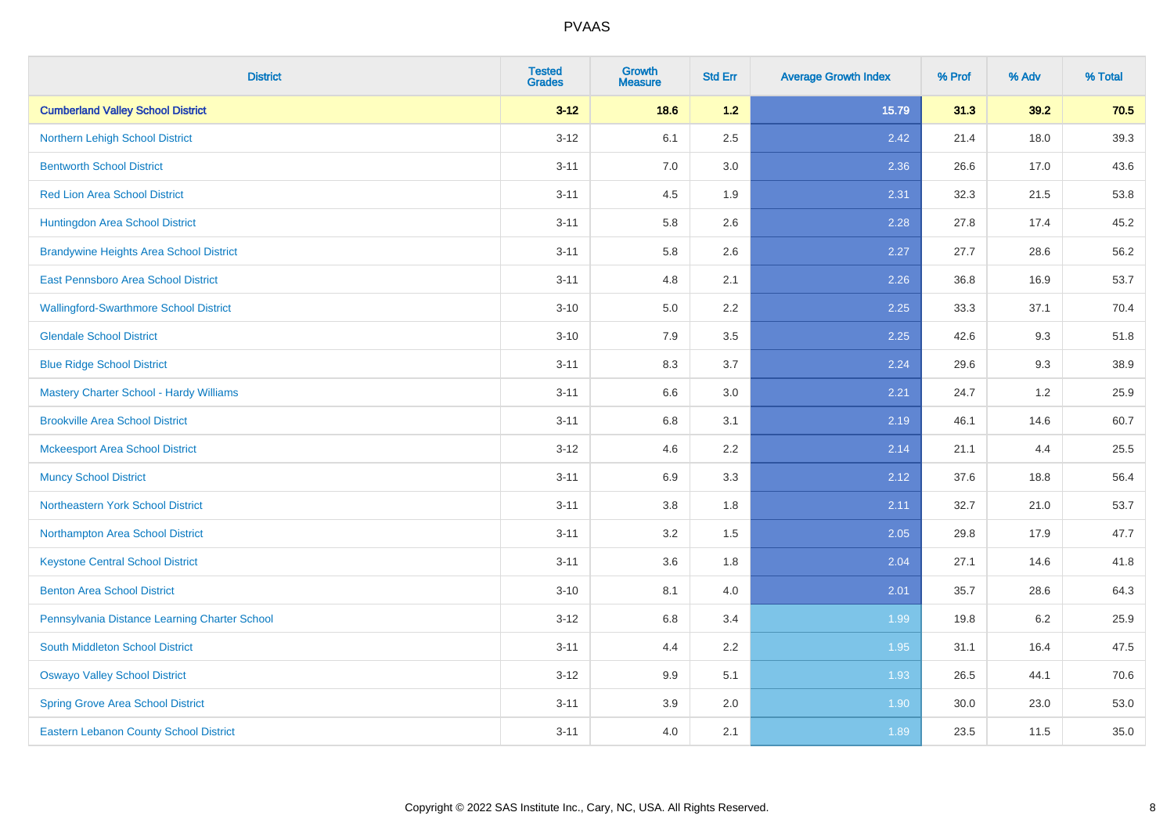| <b>District</b>                                | <b>Tested</b><br><b>Grades</b> | <b>Growth</b><br><b>Measure</b> | <b>Std Err</b> | <b>Average Growth Index</b> | % Prof | % Adv | % Total |
|------------------------------------------------|--------------------------------|---------------------------------|----------------|-----------------------------|--------|-------|---------|
| <b>Cumberland Valley School District</b>       | $3 - 12$                       | 18.6                            | 1.2            | 15.79                       | 31.3   | 39.2  | 70.5    |
| Northern Lehigh School District                | $3 - 12$                       | 6.1                             | 2.5            | 2.42                        | 21.4   | 18.0  | 39.3    |
| <b>Bentworth School District</b>               | $3 - 11$                       | 7.0                             | 3.0            | 2.36                        | 26.6   | 17.0  | 43.6    |
| <b>Red Lion Area School District</b>           | $3 - 11$                       | 4.5                             | 1.9            | 2.31                        | 32.3   | 21.5  | 53.8    |
| Huntingdon Area School District                | $3 - 11$                       | 5.8                             | 2.6            | 2.28                        | 27.8   | 17.4  | 45.2    |
| <b>Brandywine Heights Area School District</b> | $3 - 11$                       | 5.8                             | 2.6            | 2.27                        | 27.7   | 28.6  | 56.2    |
| East Pennsboro Area School District            | $3 - 11$                       | 4.8                             | 2.1            | 2.26                        | 36.8   | 16.9  | 53.7    |
| <b>Wallingford-Swarthmore School District</b>  | $3 - 10$                       | 5.0                             | 2.2            | 2.25                        | 33.3   | 37.1  | 70.4    |
| <b>Glendale School District</b>                | $3 - 10$                       | 7.9                             | 3.5            | 2.25                        | 42.6   | 9.3   | 51.8    |
| <b>Blue Ridge School District</b>              | $3 - 11$                       | 8.3                             | 3.7            | 2.24                        | 29.6   | 9.3   | 38.9    |
| Mastery Charter School - Hardy Williams        | $3 - 11$                       | 6.6                             | 3.0            | 2.21                        | 24.7   | 1.2   | 25.9    |
| <b>Brookville Area School District</b>         | $3 - 11$                       | 6.8                             | 3.1            | 2.19                        | 46.1   | 14.6  | 60.7    |
| <b>Mckeesport Area School District</b>         | $3 - 12$                       | 4.6                             | 2.2            | 2.14                        | 21.1   | 4.4   | 25.5    |
| <b>Muncy School District</b>                   | $3 - 11$                       | 6.9                             | 3.3            | 2.12                        | 37.6   | 18.8  | 56.4    |
| <b>Northeastern York School District</b>       | $3 - 11$                       | 3.8                             | 1.8            | 2.11                        | 32.7   | 21.0  | 53.7    |
| Northampton Area School District               | $3 - 11$                       | 3.2                             | 1.5            | 2.05                        | 29.8   | 17.9  | 47.7    |
| <b>Keystone Central School District</b>        | $3 - 11$                       | 3.6                             | 1.8            | 2.04                        | 27.1   | 14.6  | 41.8    |
| <b>Benton Area School District</b>             | $3 - 10$                       | 8.1                             | 4.0            | 2.01                        | 35.7   | 28.6  | 64.3    |
| Pennsylvania Distance Learning Charter School  | $3 - 12$                       | 6.8                             | 3.4            | 1.99                        | 19.8   | 6.2   | 25.9    |
| <b>South Middleton School District</b>         | $3 - 11$                       | 4.4                             | 2.2            | 1.95                        | 31.1   | 16.4  | 47.5    |
| <b>Oswayo Valley School District</b>           | $3-12$                         | 9.9                             | 5.1            | 1.93                        | 26.5   | 44.1  | 70.6    |
| <b>Spring Grove Area School District</b>       | $3 - 11$                       | 3.9                             | 2.0            | 1.90                        | 30.0   | 23.0  | 53.0    |
| <b>Eastern Lebanon County School District</b>  | $3 - 11$                       | 4.0                             | 2.1            | 1.89                        | 23.5   | 11.5  | 35.0    |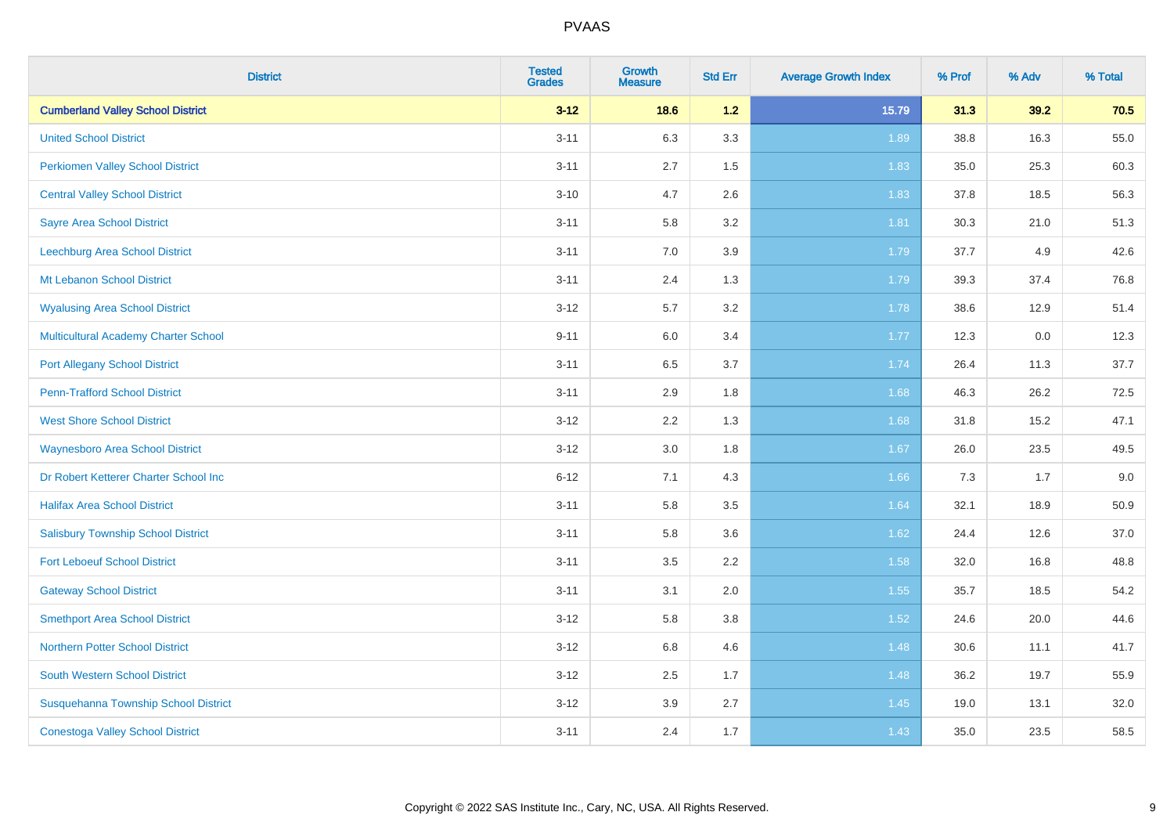| <b>District</b>                             | <b>Tested</b><br><b>Grades</b> | <b>Growth</b><br><b>Measure</b> | <b>Std Err</b> | <b>Average Growth Index</b> | % Prof | % Adv | % Total |
|---------------------------------------------|--------------------------------|---------------------------------|----------------|-----------------------------|--------|-------|---------|
| <b>Cumberland Valley School District</b>    | $3 - 12$                       | 18.6                            | $1.2$          | 15.79                       | 31.3   | 39.2  | 70.5    |
| <b>United School District</b>               | $3 - 11$                       | 6.3                             | 3.3            | 1.89                        | 38.8   | 16.3  | 55.0    |
| <b>Perkiomen Valley School District</b>     | $3 - 11$                       | 2.7                             | 1.5            | 1.83                        | 35.0   | 25.3  | 60.3    |
| <b>Central Valley School District</b>       | $3 - 10$                       | 4.7                             | 2.6            | 1.83                        | 37.8   | 18.5  | 56.3    |
| <b>Sayre Area School District</b>           | $3 - 11$                       | 5.8                             | 3.2            | 1.81                        | 30.3   | 21.0  | 51.3    |
| Leechburg Area School District              | $3 - 11$                       | 7.0                             | 3.9            | 1.79                        | 37.7   | 4.9   | 42.6    |
| Mt Lebanon School District                  | $3 - 11$                       | 2.4                             | 1.3            | 1.79                        | 39.3   | 37.4  | 76.8    |
| <b>Wyalusing Area School District</b>       | $3 - 12$                       | 5.7                             | 3.2            | 1.78                        | 38.6   | 12.9  | 51.4    |
| <b>Multicultural Academy Charter School</b> | $9 - 11$                       | 6.0                             | 3.4            | 1.77                        | 12.3   | 0.0   | 12.3    |
| <b>Port Allegany School District</b>        | $3 - 11$                       | 6.5                             | 3.7            | 1.74                        | 26.4   | 11.3  | 37.7    |
| <b>Penn-Trafford School District</b>        | $3 - 11$                       | 2.9                             | 1.8            | 1.68                        | 46.3   | 26.2  | 72.5    |
| <b>West Shore School District</b>           | $3 - 12$                       | 2.2                             | 1.3            | 1.68                        | 31.8   | 15.2  | 47.1    |
| <b>Waynesboro Area School District</b>      | $3 - 12$                       | 3.0                             | 1.8            | 1.67                        | 26.0   | 23.5  | 49.5    |
| Dr Robert Ketterer Charter School Inc       | $6 - 12$                       | 7.1                             | 4.3            | 1.66                        | 7.3    | 1.7   | 9.0     |
| <b>Halifax Area School District</b>         | $3 - 11$                       | 5.8                             | 3.5            | 1.64                        | 32.1   | 18.9  | 50.9    |
| <b>Salisbury Township School District</b>   | $3 - 11$                       | 5.8                             | 3.6            | 1.62                        | 24.4   | 12.6  | 37.0    |
| <b>Fort Leboeuf School District</b>         | $3 - 11$                       | 3.5                             | 2.2            | 1.58                        | 32.0   | 16.8  | 48.8    |
| <b>Gateway School District</b>              | $3 - 11$                       | 3.1                             | 2.0            | 1.55                        | 35.7   | 18.5  | 54.2    |
| <b>Smethport Area School District</b>       | $3 - 12$                       | 5.8                             | 3.8            | 1.52                        | 24.6   | 20.0  | 44.6    |
| <b>Northern Potter School District</b>      | $3 - 12$                       | 6.8                             | 4.6            | 1.48                        | 30.6   | 11.1  | 41.7    |
| South Western School District               | $3-12$                         | $2.5\,$                         | 1.7            | 1.48                        | 36.2   | 19.7  | 55.9    |
| Susquehanna Township School District        | $3 - 12$                       | 3.9                             | 2.7            | 1.45                        | 19.0   | 13.1  | 32.0    |
| <b>Conestoga Valley School District</b>     | $3 - 11$                       | 2.4                             | 1.7            | 1.43                        | 35.0   | 23.5  | 58.5    |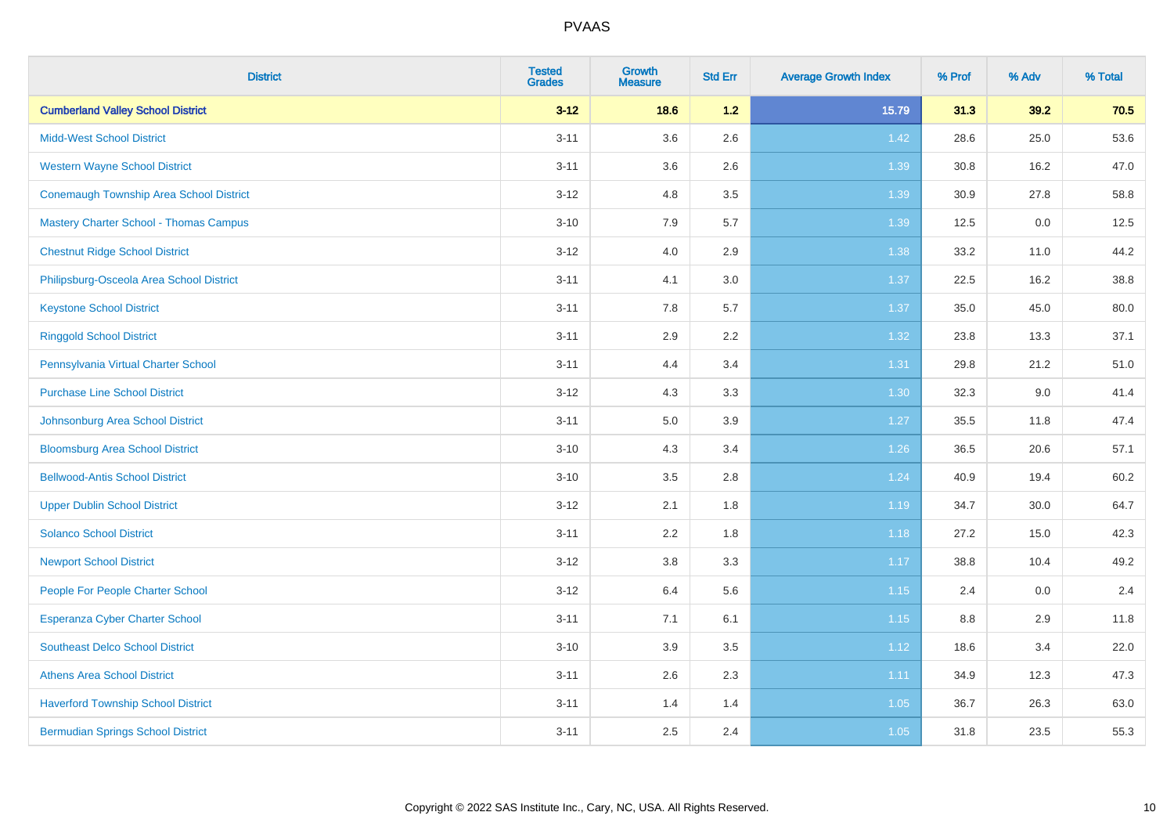| <b>District</b>                                | <b>Tested</b><br><b>Grades</b> | <b>Growth</b><br><b>Measure</b> | <b>Std Err</b> | <b>Average Growth Index</b> | % Prof | % Adv | % Total |
|------------------------------------------------|--------------------------------|---------------------------------|----------------|-----------------------------|--------|-------|---------|
| <b>Cumberland Valley School District</b>       | $3 - 12$                       | 18.6                            | $1.2$          | 15.79                       | 31.3   | 39.2  | 70.5    |
| <b>Midd-West School District</b>               | $3 - 11$                       | 3.6                             | 2.6            | 1.42                        | 28.6   | 25.0  | 53.6    |
| <b>Western Wayne School District</b>           | $3 - 11$                       | 3.6                             | 2.6            | 1.39                        | 30.8   | 16.2  | 47.0    |
| <b>Conemaugh Township Area School District</b> | $3 - 12$                       | 4.8                             | 3.5            | 1.39                        | 30.9   | 27.8  | 58.8    |
| <b>Mastery Charter School - Thomas Campus</b>  | $3 - 10$                       | 7.9                             | 5.7            | 1.39                        | 12.5   | 0.0   | 12.5    |
| <b>Chestnut Ridge School District</b>          | $3-12$                         | 4.0                             | 2.9            | 1.38                        | 33.2   | 11.0  | 44.2    |
| Philipsburg-Osceola Area School District       | $3 - 11$                       | 4.1                             | 3.0            | 1.37                        | 22.5   | 16.2  | 38.8    |
| <b>Keystone School District</b>                | $3 - 11$                       | 7.8                             | 5.7            | 1.37                        | 35.0   | 45.0  | 80.0    |
| <b>Ringgold School District</b>                | $3 - 11$                       | 2.9                             | 2.2            | 1.32                        | 23.8   | 13.3  | 37.1    |
| Pennsylvania Virtual Charter School            | $3 - 11$                       | 4.4                             | 3.4            | 1.31                        | 29.8   | 21.2  | 51.0    |
| <b>Purchase Line School District</b>           | $3-12$                         | 4.3                             | 3.3            | 1.30                        | 32.3   | 9.0   | 41.4    |
| Johnsonburg Area School District               | $3 - 11$                       | 5.0                             | 3.9            | 1.27                        | 35.5   | 11.8  | 47.4    |
| <b>Bloomsburg Area School District</b>         | $3 - 10$                       | 4.3                             | 3.4            | $1.26$                      | 36.5   | 20.6  | 57.1    |
| <b>Bellwood-Antis School District</b>          | $3 - 10$                       | 3.5                             | 2.8            | 1.24                        | 40.9   | 19.4  | 60.2    |
| <b>Upper Dublin School District</b>            | $3-12$                         | 2.1                             | 1.8            | 1.19                        | 34.7   | 30.0  | 64.7    |
| <b>Solanco School District</b>                 | $3 - 11$                       | 2.2                             | 1.8            | 1.18                        | 27.2   | 15.0  | 42.3    |
| <b>Newport School District</b>                 | $3 - 12$                       | $3.8\,$                         | 3.3            | 1.17                        | 38.8   | 10.4  | 49.2    |
| People For People Charter School               | $3-12$                         | 6.4                             | 5.6            | $1.15$                      | 2.4    | 0.0   | 2.4     |
| Esperanza Cyber Charter School                 | $3 - 11$                       | 7.1                             | 6.1            | 1.15                        | 8.8    | 2.9   | 11.8    |
| <b>Southeast Delco School District</b>         | $3 - 10$                       | 3.9                             | 3.5            | 1.12                        | 18.6   | 3.4   | 22.0    |
| <b>Athens Area School District</b>             | $3 - 11$                       | 2.6                             | 2.3            | 1.11                        | 34.9   | 12.3  | 47.3    |
| <b>Haverford Township School District</b>      | $3 - 11$                       | 1.4                             | 1.4            | 1.05                        | 36.7   | 26.3  | 63.0    |
| <b>Bermudian Springs School District</b>       | $3 - 11$                       | 2.5                             | 2.4            | 1.05                        | 31.8   | 23.5  | 55.3    |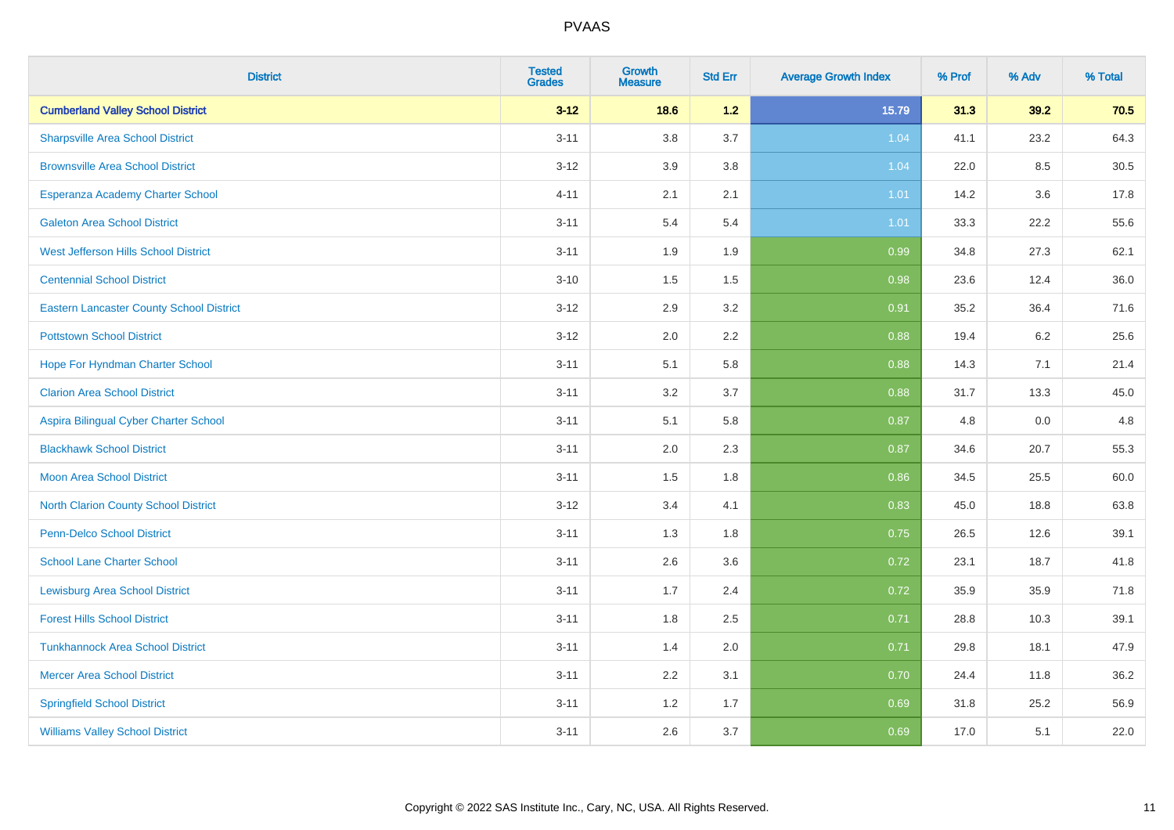| <b>District</b>                                 | <b>Tested</b><br><b>Grades</b> | <b>Growth</b><br><b>Measure</b> | <b>Std Err</b> | <b>Average Growth Index</b> | % Prof | % Adv | % Total |
|-------------------------------------------------|--------------------------------|---------------------------------|----------------|-----------------------------|--------|-------|---------|
| <b>Cumberland Valley School District</b>        | $3 - 12$                       | 18.6                            | $1.2$          | 15.79                       | 31.3   | 39.2  | 70.5    |
| <b>Sharpsville Area School District</b>         | $3 - 11$                       | 3.8                             | 3.7            | 1.04                        | 41.1   | 23.2  | 64.3    |
| <b>Brownsville Area School District</b>         | $3 - 12$                       | 3.9                             | 3.8            | 1.04                        | 22.0   | 8.5   | 30.5    |
| Esperanza Academy Charter School                | $4 - 11$                       | 2.1                             | 2.1            | 1.01                        | 14.2   | 3.6   | 17.8    |
| <b>Galeton Area School District</b>             | $3 - 11$                       | 5.4                             | 5.4            | 1.01                        | 33.3   | 22.2  | 55.6    |
| West Jefferson Hills School District            | $3 - 11$                       | 1.9                             | 1.9            | 0.99                        | 34.8   | 27.3  | 62.1    |
| <b>Centennial School District</b>               | $3 - 10$                       | 1.5                             | 1.5            | 0.98                        | 23.6   | 12.4  | 36.0    |
| <b>Eastern Lancaster County School District</b> | $3 - 12$                       | 2.9                             | 3.2            | 0.91                        | 35.2   | 36.4  | 71.6    |
| <b>Pottstown School District</b>                | $3 - 12$                       | 2.0                             | 2.2            | 0.88                        | 19.4   | 6.2   | 25.6    |
| Hope For Hyndman Charter School                 | $3 - 11$                       | 5.1                             | 5.8            | 0.88                        | 14.3   | 7.1   | 21.4    |
| <b>Clarion Area School District</b>             | $3 - 11$                       | 3.2                             | 3.7            | 0.88                        | 31.7   | 13.3  | 45.0    |
| Aspira Bilingual Cyber Charter School           | $3 - 11$                       | 5.1                             | 5.8            | 0.87                        | 4.8    | 0.0   | 4.8     |
| <b>Blackhawk School District</b>                | $3 - 11$                       | 2.0                             | 2.3            | 0.87                        | 34.6   | 20.7  | 55.3    |
| <b>Moon Area School District</b>                | $3 - 11$                       | 1.5                             | 1.8            | 0.86                        | 34.5   | 25.5  | 60.0    |
| <b>North Clarion County School District</b>     | $3 - 12$                       | 3.4                             | 4.1            | 0.83                        | 45.0   | 18.8  | 63.8    |
| Penn-Delco School District                      | $3 - 11$                       | 1.3                             | 1.8            | 0.75                        | 26.5   | 12.6  | 39.1    |
| <b>School Lane Charter School</b>               | $3 - 11$                       | 2.6                             | 3.6            | 0.72                        | 23.1   | 18.7  | 41.8    |
| <b>Lewisburg Area School District</b>           | $3 - 11$                       | 1.7                             | 2.4            | 0.72                        | 35.9   | 35.9  | 71.8    |
| <b>Forest Hills School District</b>             | $3 - 11$                       | 1.8                             | 2.5            | 0.71                        | 28.8   | 10.3  | 39.1    |
| <b>Tunkhannock Area School District</b>         | $3 - 11$                       | 1.4                             | 2.0            | 0.71                        | 29.8   | 18.1  | 47.9    |
| <b>Mercer Area School District</b>              | $3 - 11$                       | 2.2                             | 3.1            | 0.70                        | 24.4   | 11.8  | 36.2    |
| <b>Springfield School District</b>              | $3 - 11$                       | 1.2                             | 1.7            | 0.69                        | 31.8   | 25.2  | 56.9    |
| <b>Williams Valley School District</b>          | $3 - 11$                       | 2.6                             | 3.7            | 0.69                        | 17.0   | 5.1   | 22.0    |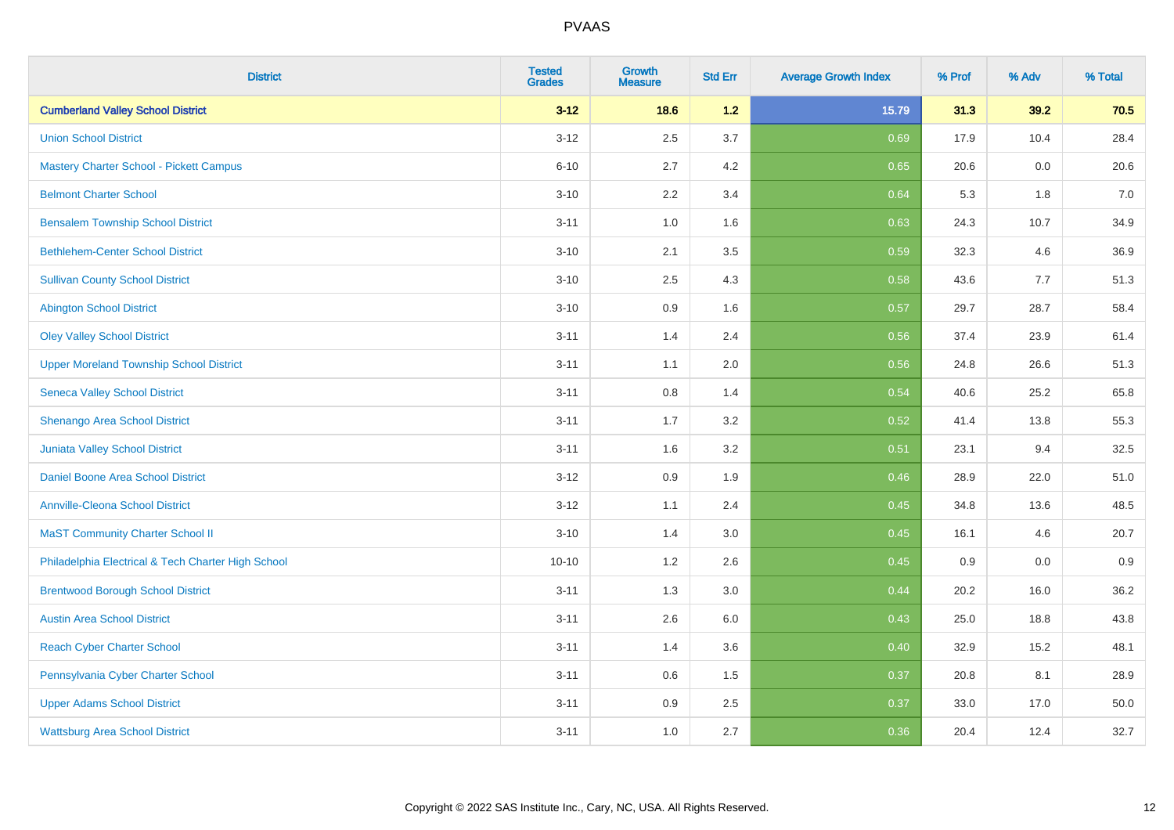| <b>District</b>                                    | <b>Tested</b><br><b>Grades</b> | <b>Growth</b><br><b>Measure</b> | <b>Std Err</b> | <b>Average Growth Index</b> | % Prof | % Adv | % Total |
|----------------------------------------------------|--------------------------------|---------------------------------|----------------|-----------------------------|--------|-------|---------|
| <b>Cumberland Valley School District</b>           | $3 - 12$                       | 18.6                            | $1.2$          | 15.79                       | 31.3   | 39.2  | 70.5    |
| <b>Union School District</b>                       | $3 - 12$                       | 2.5                             | 3.7            | 0.69                        | 17.9   | 10.4  | 28.4    |
| <b>Mastery Charter School - Pickett Campus</b>     | $6 - 10$                       | 2.7                             | 4.2            | 0.65                        | 20.6   | 0.0   | 20.6    |
| <b>Belmont Charter School</b>                      | $3 - 10$                       | 2.2                             | 3.4            | 0.64                        | 5.3    | 1.8   | $7.0\,$ |
| <b>Bensalem Township School District</b>           | $3 - 11$                       | 1.0                             | 1.6            | 0.63                        | 24.3   | 10.7  | 34.9    |
| <b>Bethlehem-Center School District</b>            | $3 - 10$                       | 2.1                             | 3.5            | 0.59                        | 32.3   | 4.6   | 36.9    |
| <b>Sullivan County School District</b>             | $3 - 10$                       | 2.5                             | 4.3            | 0.58                        | 43.6   | 7.7   | 51.3    |
| <b>Abington School District</b>                    | $3 - 10$                       | 0.9                             | 1.6            | 0.57                        | 29.7   | 28.7  | 58.4    |
| <b>Oley Valley School District</b>                 | $3 - 11$                       | 1.4                             | 2.4            | 0.56                        | 37.4   | 23.9  | 61.4    |
| <b>Upper Moreland Township School District</b>     | $3 - 11$                       | 1.1                             | 2.0            | 0.56                        | 24.8   | 26.6  | 51.3    |
| <b>Seneca Valley School District</b>               | $3 - 11$                       | 0.8                             | 1.4            | 0.54                        | 40.6   | 25.2  | 65.8    |
| Shenango Area School District                      | $3 - 11$                       | 1.7                             | 3.2            | 0.52                        | 41.4   | 13.8  | 55.3    |
| Juniata Valley School District                     | $3 - 11$                       | 1.6                             | 3.2            | 0.51                        | 23.1   | 9.4   | 32.5    |
| Daniel Boone Area School District                  | $3 - 12$                       | 0.9                             | 1.9            | 0.46                        | 28.9   | 22.0  | 51.0    |
| <b>Annville-Cleona School District</b>             | $3 - 12$                       | 1.1                             | 2.4            | 0.45                        | 34.8   | 13.6  | 48.5    |
| <b>MaST Community Charter School II</b>            | $3 - 10$                       | 1.4                             | 3.0            | 0.45                        | 16.1   | 4.6   | 20.7    |
| Philadelphia Electrical & Tech Charter High School | $10 - 10$                      | 1.2                             | 2.6            | 0.45                        | 0.9    | 0.0   | 0.9     |
| <b>Brentwood Borough School District</b>           | $3 - 11$                       | 1.3                             | 3.0            | 0.44                        | 20.2   | 16.0  | 36.2    |
| <b>Austin Area School District</b>                 | $3 - 11$                       | 2.6                             | 6.0            | 0.43                        | 25.0   | 18.8  | 43.8    |
| <b>Reach Cyber Charter School</b>                  | $3 - 11$                       | 1.4                             | 3.6            | 0.40                        | 32.9   | 15.2  | 48.1    |
| Pennsylvania Cyber Charter School                  | $3 - 11$                       | 0.6                             | 1.5            | 0.37                        | 20.8   | 8.1   | 28.9    |
| <b>Upper Adams School District</b>                 | $3 - 11$                       | 0.9                             | 2.5            | 0.37                        | 33.0   | 17.0  | 50.0    |
| <b>Wattsburg Area School District</b>              | $3 - 11$                       | 1.0                             | 2.7            | 0.36                        | 20.4   | 12.4  | 32.7    |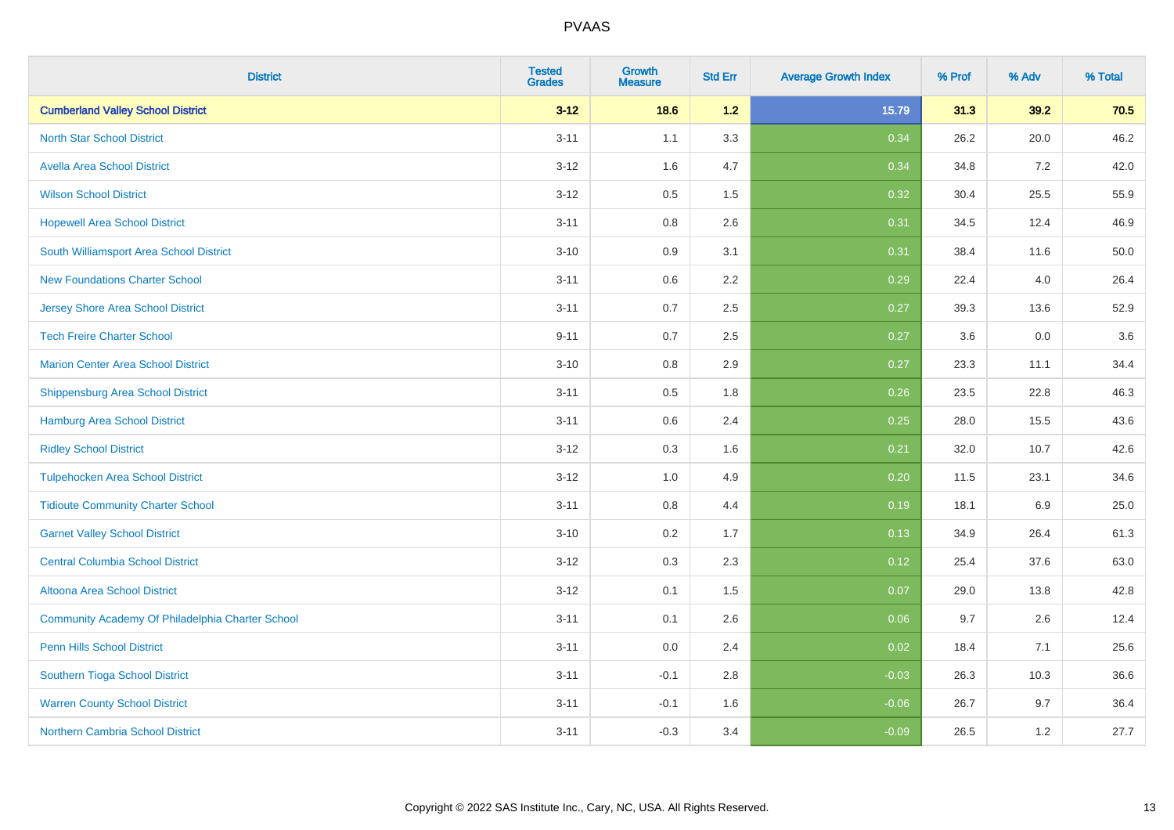| <b>District</b>                                  | <b>Tested</b><br><b>Grades</b> | <b>Growth</b><br><b>Measure</b> | <b>Std Err</b> | <b>Average Growth Index</b> | % Prof | % Adv | % Total |
|--------------------------------------------------|--------------------------------|---------------------------------|----------------|-----------------------------|--------|-------|---------|
| <b>Cumberland Valley School District</b>         | $3 - 12$                       | 18.6                            | 1.2            | 15.79                       | 31.3   | 39.2  | 70.5    |
| <b>North Star School District</b>                | $3 - 11$                       | 1.1                             | 3.3            | 0.34                        | 26.2   | 20.0  | 46.2    |
| <b>Avella Area School District</b>               | $3 - 12$                       | 1.6                             | 4.7            | 0.34                        | 34.8   | 7.2   | 42.0    |
| <b>Wilson School District</b>                    | $3 - 12$                       | 0.5                             | 1.5            | 0.32                        | 30.4   | 25.5  | 55.9    |
| <b>Hopewell Area School District</b>             | $3 - 11$                       | 0.8                             | 2.6            | 0.31                        | 34.5   | 12.4  | 46.9    |
| South Williamsport Area School District          | $3 - 10$                       | 0.9                             | 3.1            | 0.31                        | 38.4   | 11.6  | 50.0    |
| <b>New Foundations Charter School</b>            | $3 - 11$                       | 0.6                             | 2.2            | 0.29                        | 22.4   | 4.0   | 26.4    |
| <b>Jersey Shore Area School District</b>         | $3 - 11$                       | 0.7                             | 2.5            | 0.27                        | 39.3   | 13.6  | 52.9    |
| <b>Tech Freire Charter School</b>                | $9 - 11$                       | 0.7                             | 2.5            | 0.27                        | 3.6    | 0.0   | 3.6     |
| <b>Marion Center Area School District</b>        | $3 - 10$                       | 0.8                             | 2.9            | 0.27                        | 23.3   | 11.1  | 34.4    |
| <b>Shippensburg Area School District</b>         | $3 - 11$                       | 0.5                             | 1.8            | 0.26                        | 23.5   | 22.8  | 46.3    |
| <b>Hamburg Area School District</b>              | $3 - 11$                       | 0.6                             | 2.4            | 0.25                        | 28.0   | 15.5  | 43.6    |
| <b>Ridley School District</b>                    | $3 - 12$                       | 0.3                             | 1.6            | 0.21                        | 32.0   | 10.7  | 42.6    |
| <b>Tulpehocken Area School District</b>          | $3 - 12$                       | 1.0                             | 4.9            | 0.20                        | 11.5   | 23.1  | 34.6    |
| <b>Tidioute Community Charter School</b>         | $3 - 11$                       | 0.8                             | 4.4            | 0.19                        | 18.1   | 6.9   | 25.0    |
| <b>Garnet Valley School District</b>             | $3 - 10$                       | 0.2                             | 1.7            | 0.13                        | 34.9   | 26.4  | 61.3    |
| <b>Central Columbia School District</b>          | $3 - 12$                       | 0.3                             | 2.3            | 0.12                        | 25.4   | 37.6  | 63.0    |
| Altoona Area School District                     | $3 - 12$                       | 0.1                             | 1.5            | 0.07                        | 29.0   | 13.8  | 42.8    |
| Community Academy Of Philadelphia Charter School | $3 - 11$                       | 0.1                             | 2.6            | 0.06                        | 9.7    | 2.6   | 12.4    |
| Penn Hills School District                       | $3 - 11$                       | 0.0                             | 2.4            | 0.02                        | 18.4   | 7.1   | 25.6    |
| Southern Tioga School District                   | $3 - 11$                       | $-0.1$                          | 2.8            | $-0.03$                     | 26.3   | 10.3  | 36.6    |
| <b>Warren County School District</b>             | $3 - 11$                       | $-0.1$                          | 1.6            | $-0.06$                     | 26.7   | 9.7   | 36.4    |
| <b>Northern Cambria School District</b>          | $3 - 11$                       | $-0.3$                          | 3.4            | $-0.09$                     | 26.5   | 1.2   | 27.7    |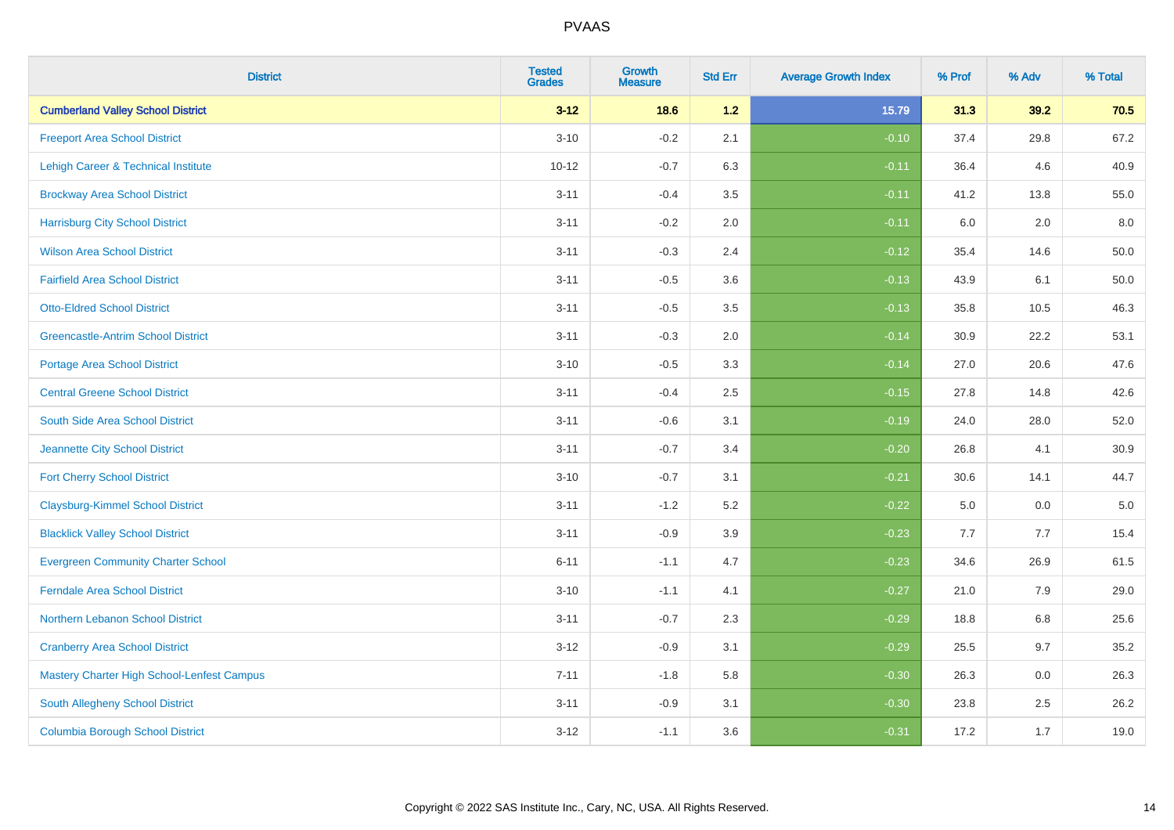| <b>District</b>                            | <b>Tested</b><br><b>Grades</b> | <b>Growth</b><br><b>Measure</b> | <b>Std Err</b> | <b>Average Growth Index</b> | % Prof | % Adv | % Total  |
|--------------------------------------------|--------------------------------|---------------------------------|----------------|-----------------------------|--------|-------|----------|
| <b>Cumberland Valley School District</b>   | $3 - 12$                       | 18.6                            | 1.2            | 15.79                       | 31.3   | 39.2  | 70.5     |
| <b>Freeport Area School District</b>       | $3 - 10$                       | $-0.2$                          | 2.1            | $-0.10$                     | 37.4   | 29.8  | 67.2     |
| Lehigh Career & Technical Institute        | $10 - 12$                      | $-0.7$                          | 6.3            | $-0.11$                     | 36.4   | 4.6   | 40.9     |
| <b>Brockway Area School District</b>       | $3 - 11$                       | $-0.4$                          | 3.5            | $-0.11$                     | 41.2   | 13.8  | 55.0     |
| <b>Harrisburg City School District</b>     | $3 - 11$                       | $-0.2$                          | 2.0            | $-0.11$                     | 6.0    | 2.0   | 8.0      |
| <b>Wilson Area School District</b>         | $3 - 11$                       | $-0.3$                          | 2.4            | $-0.12$                     | 35.4   | 14.6  | 50.0     |
| <b>Fairfield Area School District</b>      | $3 - 11$                       | $-0.5$                          | 3.6            | $-0.13$                     | 43.9   | 6.1   | $50.0\,$ |
| <b>Otto-Eldred School District</b>         | $3 - 11$                       | $-0.5$                          | 3.5            | $-0.13$                     | 35.8   | 10.5  | 46.3     |
| <b>Greencastle-Antrim School District</b>  | $3 - 11$                       | $-0.3$                          | 2.0            | $-0.14$                     | 30.9   | 22.2  | 53.1     |
| <b>Portage Area School District</b>        | $3 - 10$                       | $-0.5$                          | 3.3            | $-0.14$                     | 27.0   | 20.6  | 47.6     |
| <b>Central Greene School District</b>      | $3 - 11$                       | $-0.4$                          | 2.5            | $-0.15$                     | 27.8   | 14.8  | 42.6     |
| South Side Area School District            | $3 - 11$                       | $-0.6$                          | 3.1            | $-0.19$                     | 24.0   | 28.0  | 52.0     |
| Jeannette City School District             | $3 - 11$                       | $-0.7$                          | 3.4            | $-0.20$                     | 26.8   | 4.1   | 30.9     |
| <b>Fort Cherry School District</b>         | $3 - 10$                       | $-0.7$                          | 3.1            | $-0.21$                     | 30.6   | 14.1  | 44.7     |
| <b>Claysburg-Kimmel School District</b>    | $3 - 11$                       | $-1.2$                          | 5.2            | $-0.22$                     | 5.0    | 0.0   | $5.0\,$  |
| <b>Blacklick Valley School District</b>    | $3 - 11$                       | $-0.9$                          | 3.9            | $-0.23$                     | 7.7    | 7.7   | 15.4     |
| <b>Evergreen Community Charter School</b>  | $6 - 11$                       | $-1.1$                          | 4.7            | $-0.23$                     | 34.6   | 26.9  | 61.5     |
| <b>Ferndale Area School District</b>       | $3 - 10$                       | $-1.1$                          | 4.1            | $-0.27$                     | 21.0   | 7.9   | 29.0     |
| Northern Lebanon School District           | $3 - 11$                       | $-0.7$                          | 2.3            | $-0.29$                     | 18.8   | 6.8   | 25.6     |
| <b>Cranberry Area School District</b>      | $3 - 12$                       | $-0.9$                          | 3.1            | $-0.29$                     | 25.5   | 9.7   | 35.2     |
| Mastery Charter High School-Lenfest Campus | $7 - 11$                       | $-1.8$                          | 5.8            | $-0.30$                     | 26.3   | 0.0   | 26.3     |
| South Allegheny School District            | $3 - 11$                       | $-0.9$                          | 3.1            | $-0.30$                     | 23.8   | 2.5   | 26.2     |
| <b>Columbia Borough School District</b>    | $3 - 12$                       | $-1.1$                          | 3.6            | $-0.31$                     | 17.2   | 1.7   | 19.0     |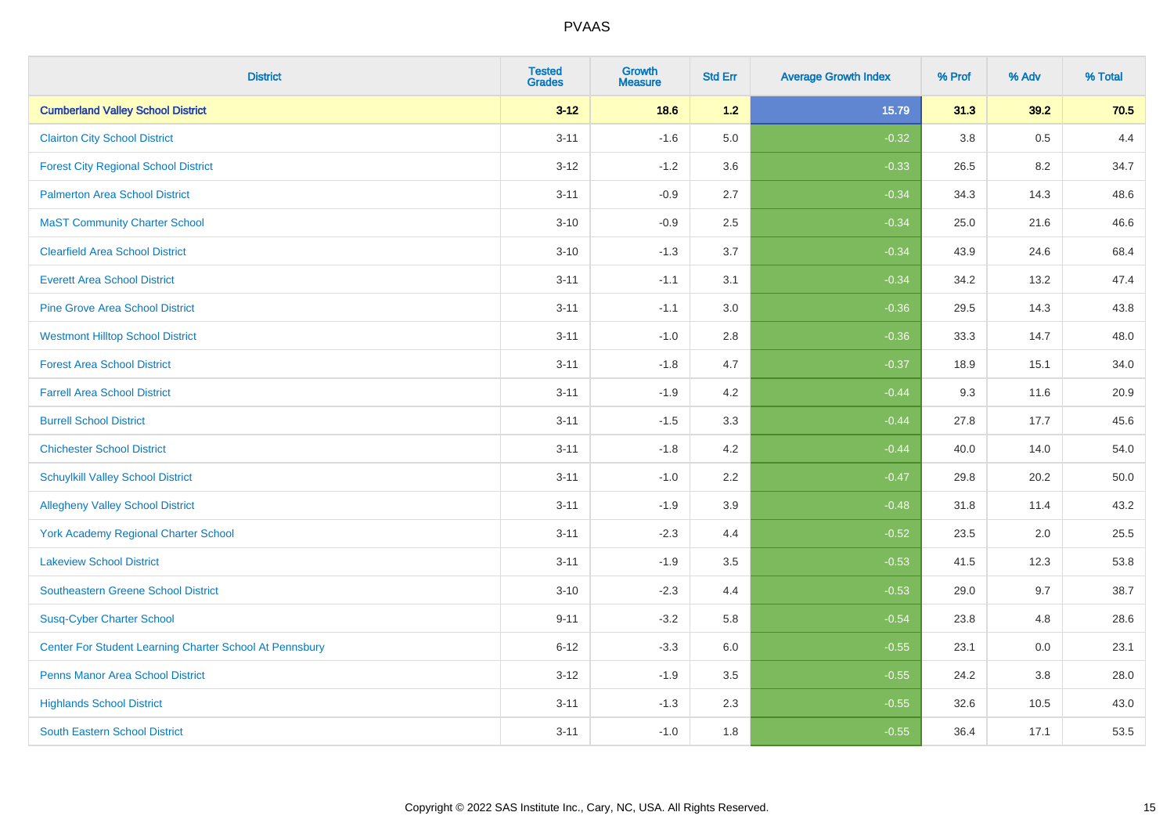| <b>District</b>                                         | <b>Tested</b><br><b>Grades</b> | <b>Growth</b><br><b>Measure</b> | <b>Std Err</b> | <b>Average Growth Index</b> | % Prof | % Adv | % Total |
|---------------------------------------------------------|--------------------------------|---------------------------------|----------------|-----------------------------|--------|-------|---------|
| <b>Cumberland Valley School District</b>                | $3 - 12$                       | 18.6                            | $1.2$          | 15.79                       | 31.3   | 39.2  | 70.5    |
| <b>Clairton City School District</b>                    | $3 - 11$                       | $-1.6$                          | 5.0            | $-0.32$                     | 3.8    | 0.5   | 4.4     |
| <b>Forest City Regional School District</b>             | $3 - 12$                       | $-1.2$                          | 3.6            | $-0.33$                     | 26.5   | 8.2   | 34.7    |
| <b>Palmerton Area School District</b>                   | $3 - 11$                       | $-0.9$                          | 2.7            | $-0.34$                     | 34.3   | 14.3  | 48.6    |
| <b>MaST Community Charter School</b>                    | $3 - 10$                       | $-0.9$                          | 2.5            | $-0.34$                     | 25.0   | 21.6  | 46.6    |
| <b>Clearfield Area School District</b>                  | $3 - 10$                       | $-1.3$                          | 3.7            | $-0.34$                     | 43.9   | 24.6  | 68.4    |
| <b>Everett Area School District</b>                     | $3 - 11$                       | $-1.1$                          | 3.1            | $-0.34$                     | 34.2   | 13.2  | 47.4    |
| <b>Pine Grove Area School District</b>                  | $3 - 11$                       | $-1.1$                          | 3.0            | $-0.36$                     | 29.5   | 14.3  | 43.8    |
| <b>Westmont Hilltop School District</b>                 | $3 - 11$                       | $-1.0$                          | 2.8            | $-0.36$                     | 33.3   | 14.7  | 48.0    |
| <b>Forest Area School District</b>                      | $3 - 11$                       | $-1.8$                          | 4.7            | $-0.37$                     | 18.9   | 15.1  | 34.0    |
| <b>Farrell Area School District</b>                     | $3 - 11$                       | $-1.9$                          | 4.2            | $-0.44$                     | 9.3    | 11.6  | 20.9    |
| <b>Burrell School District</b>                          | $3 - 11$                       | $-1.5$                          | 3.3            | $-0.44$                     | 27.8   | 17.7  | 45.6    |
| <b>Chichester School District</b>                       | $3 - 11$                       | $-1.8$                          | 4.2            | $-0.44$                     | 40.0   | 14.0  | 54.0    |
| <b>Schuylkill Valley School District</b>                | $3 - 11$                       | $-1.0$                          | 2.2            | $-0.47$                     | 29.8   | 20.2  | 50.0    |
| <b>Allegheny Valley School District</b>                 | $3 - 11$                       | $-1.9$                          | 3.9            | $-0.48$                     | 31.8   | 11.4  | 43.2    |
| <b>York Academy Regional Charter School</b>             | $3 - 11$                       | $-2.3$                          | 4.4            | $-0.52$                     | 23.5   | 2.0   | 25.5    |
| <b>Lakeview School District</b>                         | $3 - 11$                       | $-1.9$                          | 3.5            | $-0.53$                     | 41.5   | 12.3  | 53.8    |
| Southeastern Greene School District                     | $3 - 10$                       | $-2.3$                          | 4.4            | $-0.53$                     | 29.0   | 9.7   | 38.7    |
| <b>Susq-Cyber Charter School</b>                        | $9 - 11$                       | $-3.2$                          | 5.8            | $-0.54$                     | 23.8   | 4.8   | 28.6    |
| Center For Student Learning Charter School At Pennsbury | $6 - 12$                       | $-3.3$                          | 6.0            | $-0.55$                     | 23.1   | 0.0   | 23.1    |
| <b>Penns Manor Area School District</b>                 | $3 - 12$                       | $-1.9$                          | 3.5            | $-0.55$                     | 24.2   | 3.8   | 28.0    |
| <b>Highlands School District</b>                        | $3 - 11$                       | $-1.3$                          | 2.3            | $-0.55$                     | 32.6   | 10.5  | 43.0    |
| <b>South Eastern School District</b>                    | $3 - 11$                       | $-1.0$                          | 1.8            | $-0.55$                     | 36.4   | 17.1  | 53.5    |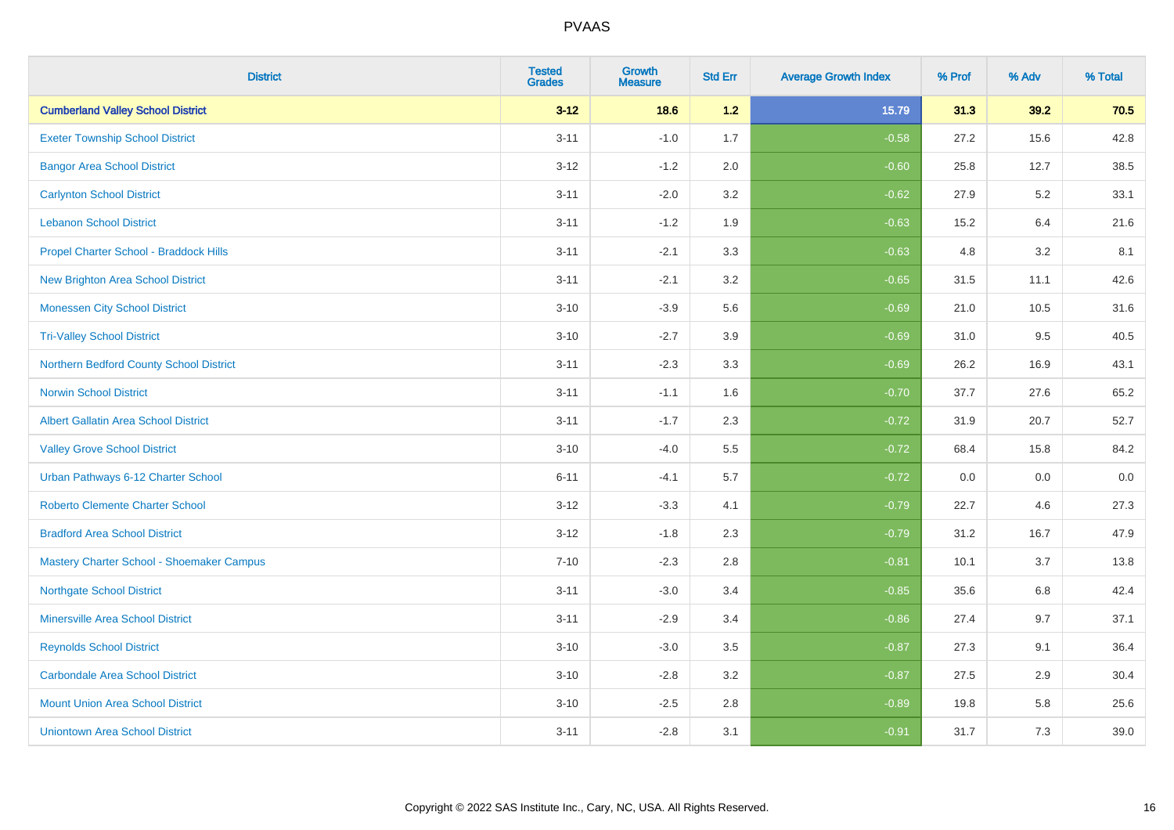| <b>District</b>                             | <b>Tested</b><br><b>Grades</b> | <b>Growth</b><br><b>Measure</b> | <b>Std Err</b> | <b>Average Growth Index</b> | % Prof | % Adv   | % Total |
|---------------------------------------------|--------------------------------|---------------------------------|----------------|-----------------------------|--------|---------|---------|
| <b>Cumberland Valley School District</b>    | $3 - 12$                       | 18.6                            | 1.2            | 15.79                       | 31.3   | 39.2    | 70.5    |
| <b>Exeter Township School District</b>      | $3 - 11$                       | $-1.0$                          | 1.7            | $-0.58$                     | 27.2   | 15.6    | 42.8    |
| <b>Bangor Area School District</b>          | $3 - 12$                       | $-1.2$                          | 2.0            | $-0.60$                     | 25.8   | 12.7    | 38.5    |
| <b>Carlynton School District</b>            | $3 - 11$                       | $-2.0$                          | 3.2            | $-0.62$                     | 27.9   | $5.2\,$ | 33.1    |
| <b>Lebanon School District</b>              | $3 - 11$                       | $-1.2$                          | 1.9            | $-0.63$                     | 15.2   | 6.4     | 21.6    |
| Propel Charter School - Braddock Hills      | $3 - 11$                       | $-2.1$                          | 3.3            | $-0.63$                     | 4.8    | 3.2     | 8.1     |
| <b>New Brighton Area School District</b>    | $3 - 11$                       | $-2.1$                          | 3.2            | $-0.65$                     | 31.5   | 11.1    | 42.6    |
| <b>Monessen City School District</b>        | $3 - 10$                       | $-3.9$                          | 5.6            | $-0.69$                     | 21.0   | 10.5    | 31.6    |
| <b>Tri-Valley School District</b>           | $3 - 10$                       | $-2.7$                          | 3.9            | $-0.69$                     | 31.0   | 9.5     | 40.5    |
| Northern Bedford County School District     | $3 - 11$                       | $-2.3$                          | 3.3            | $-0.69$                     | 26.2   | 16.9    | 43.1    |
| <b>Norwin School District</b>               | $3 - 11$                       | $-1.1$                          | 1.6            | $-0.70$                     | 37.7   | 27.6    | 65.2    |
| <b>Albert Gallatin Area School District</b> | $3 - 11$                       | $-1.7$                          | 2.3            | $-0.72$                     | 31.9   | 20.7    | 52.7    |
| <b>Valley Grove School District</b>         | $3 - 10$                       | $-4.0$                          | 5.5            | $-0.72$                     | 68.4   | 15.8    | 84.2    |
| Urban Pathways 6-12 Charter School          | $6 - 11$                       | $-4.1$                          | 5.7            | $-0.72$                     | 0.0    | 0.0     | $0.0\,$ |
| <b>Roberto Clemente Charter School</b>      | $3 - 12$                       | $-3.3$                          | 4.1            | $-0.79$                     | 22.7   | 4.6     | 27.3    |
| <b>Bradford Area School District</b>        | $3 - 12$                       | $-1.8$                          | 2.3            | $-0.79$                     | 31.2   | 16.7    | 47.9    |
| Mastery Charter School - Shoemaker Campus   | $7 - 10$                       | $-2.3$                          | 2.8            | $-0.81$                     | 10.1   | 3.7     | 13.8    |
| <b>Northgate School District</b>            | $3 - 11$                       | $-3.0$                          | 3.4            | $-0.85$                     | 35.6   | $6.8\,$ | 42.4    |
| <b>Minersville Area School District</b>     | $3 - 11$                       | $-2.9$                          | 3.4            | $-0.86$                     | 27.4   | 9.7     | 37.1    |
| <b>Reynolds School District</b>             | $3 - 10$                       | $-3.0$                          | 3.5            | $-0.87$                     | 27.3   | 9.1     | 36.4    |
| <b>Carbondale Area School District</b>      | $3 - 10$                       | $-2.8$                          | 3.2            | $-0.87$                     | 27.5   | 2.9     | 30.4    |
| <b>Mount Union Area School District</b>     | $3 - 10$                       | $-2.5$                          | 2.8            | $-0.89$                     | 19.8   | 5.8     | 25.6    |
| <b>Uniontown Area School District</b>       | $3 - 11$                       | $-2.8$                          | 3.1            | $-0.91$                     | 31.7   | 7.3     | 39.0    |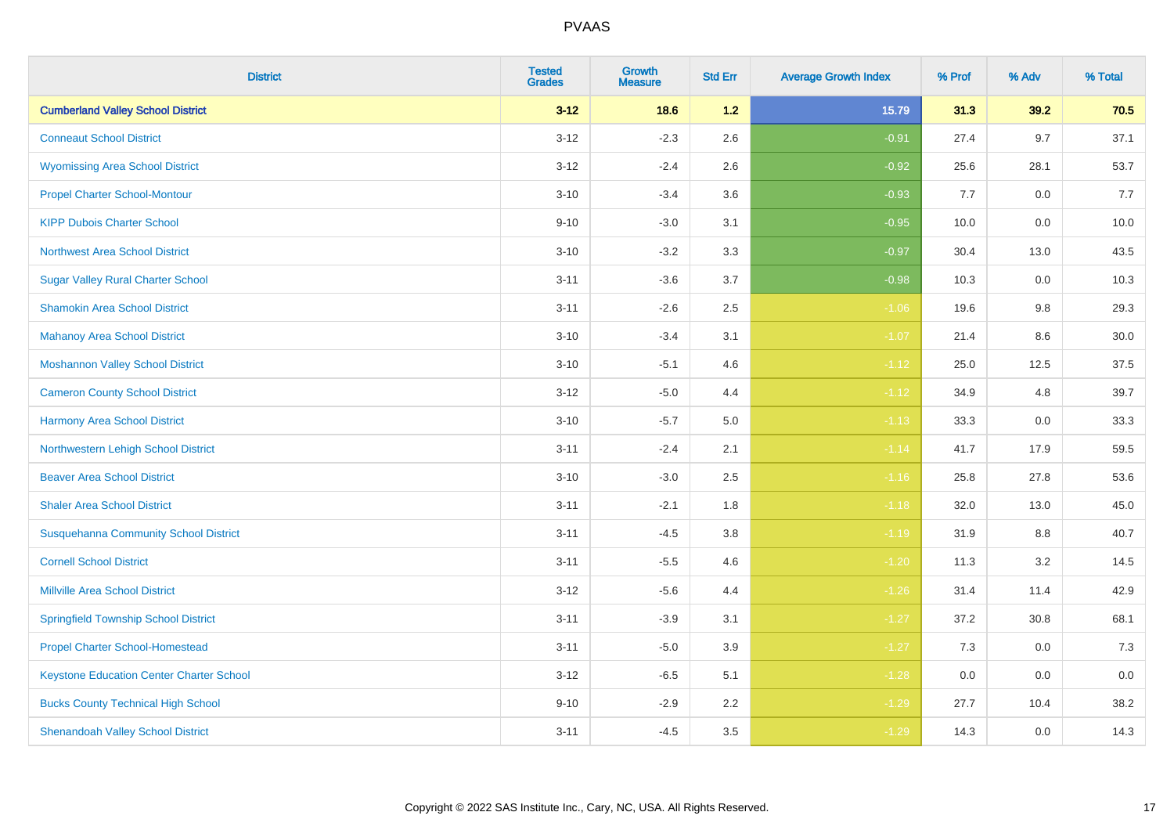| <b>District</b>                                 | <b>Tested</b><br><b>Grades</b> | <b>Growth</b><br><b>Measure</b> | <b>Std Err</b> | <b>Average Growth Index</b> | % Prof | % Adv   | % Total |
|-------------------------------------------------|--------------------------------|---------------------------------|----------------|-----------------------------|--------|---------|---------|
| <b>Cumberland Valley School District</b>        | $3 - 12$                       | 18.6                            | 1.2            | 15.79                       | 31.3   | 39.2    | 70.5    |
| <b>Conneaut School District</b>                 | $3 - 12$                       | $-2.3$                          | 2.6            | $-0.91$                     | 27.4   | 9.7     | 37.1    |
| <b>Wyomissing Area School District</b>          | $3 - 12$                       | $-2.4$                          | 2.6            | $-0.92$                     | 25.6   | 28.1    | 53.7    |
| <b>Propel Charter School-Montour</b>            | $3 - 10$                       | $-3.4$                          | 3.6            | $-0.93$                     | 7.7    | $0.0\,$ | 7.7     |
| <b>KIPP Dubois Charter School</b>               | $9 - 10$                       | $-3.0$                          | 3.1            | $-0.95$                     | 10.0   | 0.0     | 10.0    |
| <b>Northwest Area School District</b>           | $3 - 10$                       | $-3.2$                          | 3.3            | $-0.97$                     | 30.4   | 13.0    | 43.5    |
| <b>Sugar Valley Rural Charter School</b>        | $3 - 11$                       | $-3.6$                          | 3.7            | $-0.98$                     | 10.3   | 0.0     | 10.3    |
| <b>Shamokin Area School District</b>            | $3 - 11$                       | $-2.6$                          | 2.5            | $-1.06$                     | 19.6   | 9.8     | 29.3    |
| <b>Mahanoy Area School District</b>             | $3 - 10$                       | $-3.4$                          | 3.1            | $-1.07$                     | 21.4   | 8.6     | 30.0    |
| <b>Moshannon Valley School District</b>         | $3 - 10$                       | $-5.1$                          | 4.6            | $-1.12$                     | 25.0   | 12.5    | 37.5    |
| <b>Cameron County School District</b>           | $3 - 12$                       | $-5.0$                          | 4.4            | $-1.12$                     | 34.9   | 4.8     | 39.7    |
| <b>Harmony Area School District</b>             | $3 - 10$                       | $-5.7$                          | 5.0            | $-1.13$                     | 33.3   | 0.0     | 33.3    |
| Northwestern Lehigh School District             | $3 - 11$                       | $-2.4$                          | 2.1            | $-1.14$                     | 41.7   | 17.9    | 59.5    |
| <b>Beaver Area School District</b>              | $3 - 10$                       | $-3.0$                          | 2.5            | $-1.16$                     | 25.8   | 27.8    | 53.6    |
| <b>Shaler Area School District</b>              | $3 - 11$                       | $-2.1$                          | 1.8            | $-1.18$                     | 32.0   | 13.0    | 45.0    |
| <b>Susquehanna Community School District</b>    | $3 - 11$                       | $-4.5$                          | $3.8\,$        | $-1.19$                     | 31.9   | $8.8\,$ | 40.7    |
| <b>Cornell School District</b>                  | $3 - 11$                       | $-5.5$                          | 4.6            | $-1.20$                     | 11.3   | $3.2\,$ | 14.5    |
| <b>Millville Area School District</b>           | $3 - 12$                       | $-5.6$                          | 4.4            | $-1.26$                     | 31.4   | 11.4    | 42.9    |
| <b>Springfield Township School District</b>     | $3 - 11$                       | $-3.9$                          | 3.1            | $-1.27$                     | 37.2   | 30.8    | 68.1    |
| <b>Propel Charter School-Homestead</b>          | $3 - 11$                       | $-5.0$                          | 3.9            | $-1.27$                     | 7.3    | 0.0     | 7.3     |
| <b>Keystone Education Center Charter School</b> | $3 - 12$                       | $-6.5$                          | 5.1            | $-1.28$                     | 0.0    | 0.0     | 0.0     |
| <b>Bucks County Technical High School</b>       | $9 - 10$                       | $-2.9$                          | 2.2            | $-1.29$                     | 27.7   | 10.4    | 38.2    |
| <b>Shenandoah Valley School District</b>        | $3 - 11$                       | $-4.5$                          | 3.5            | $-1.29$                     | 14.3   | 0.0     | 14.3    |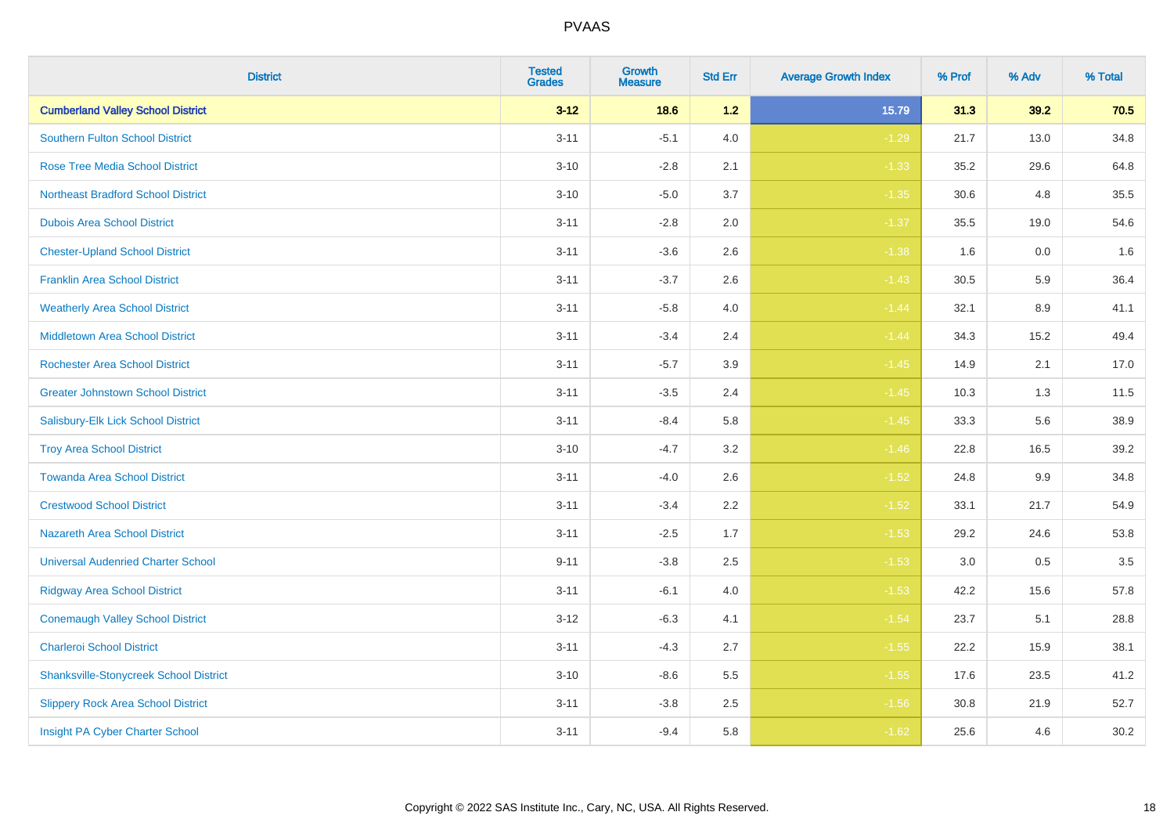| <b>District</b>                               | <b>Tested</b><br><b>Grades</b> | <b>Growth</b><br><b>Measure</b> | <b>Std Err</b> | <b>Average Growth Index</b> | % Prof | % Adv | % Total |
|-----------------------------------------------|--------------------------------|---------------------------------|----------------|-----------------------------|--------|-------|---------|
| <b>Cumberland Valley School District</b>      | $3 - 12$                       | 18.6                            | $1.2$          | 15.79                       | 31.3   | 39.2  | 70.5    |
| Southern Fulton School District               | $3 - 11$                       | $-5.1$                          | 4.0            | $-1.29$                     | 21.7   | 13.0  | 34.8    |
| <b>Rose Tree Media School District</b>        | $3 - 10$                       | $-2.8$                          | 2.1            | $-1.33$                     | 35.2   | 29.6  | 64.8    |
| <b>Northeast Bradford School District</b>     | $3 - 10$                       | $-5.0$                          | 3.7            | $-1.35$                     | 30.6   | 4.8   | 35.5    |
| <b>Dubois Area School District</b>            | $3 - 11$                       | $-2.8$                          | 2.0            | $-1.37$                     | 35.5   | 19.0  | 54.6    |
| <b>Chester-Upland School District</b>         | $3 - 11$                       | $-3.6$                          | 2.6            | $-1.38$                     | 1.6    | 0.0   | 1.6     |
| <b>Franklin Area School District</b>          | $3 - 11$                       | $-3.7$                          | 2.6            | $-1.43$                     | 30.5   | 5.9   | 36.4    |
| <b>Weatherly Area School District</b>         | $3 - 11$                       | $-5.8$                          | 4.0            | $-1.44$                     | 32.1   | 8.9   | 41.1    |
| <b>Middletown Area School District</b>        | $3 - 11$                       | $-3.4$                          | 2.4            | $-1.44$                     | 34.3   | 15.2  | 49.4    |
| <b>Rochester Area School District</b>         | $3 - 11$                       | $-5.7$                          | 3.9            | $-1.45$                     | 14.9   | 2.1   | 17.0    |
| <b>Greater Johnstown School District</b>      | $3 - 11$                       | $-3.5$                          | 2.4            | $-1.45$                     | 10.3   | 1.3   | 11.5    |
| Salisbury-Elk Lick School District            | $3 - 11$                       | $-8.4$                          | 5.8            | $-1.45$                     | 33.3   | 5.6   | 38.9    |
| <b>Troy Area School District</b>              | $3 - 10$                       | $-4.7$                          | $3.2\,$        | $-1.46$                     | 22.8   | 16.5  | 39.2    |
| <b>Towanda Area School District</b>           | $3 - 11$                       | $-4.0$                          | 2.6            | $-1.52$                     | 24.8   | 9.9   | 34.8    |
| <b>Crestwood School District</b>              | $3 - 11$                       | $-3.4$                          | 2.2            | $-1.52$                     | 33.1   | 21.7  | 54.9    |
| <b>Nazareth Area School District</b>          | $3 - 11$                       | $-2.5$                          | 1.7            | $-1.53$                     | 29.2   | 24.6  | 53.8    |
| <b>Universal Audenried Charter School</b>     | $9 - 11$                       | $-3.8$                          | 2.5            | $-1.53$                     | 3.0    | 0.5   | 3.5     |
| <b>Ridgway Area School District</b>           | $3 - 11$                       | $-6.1$                          | 4.0            | $-1.53$                     | 42.2   | 15.6  | 57.8    |
| <b>Conemaugh Valley School District</b>       | $3-12$                         | $-6.3$                          | 4.1            | $-1.54$                     | 23.7   | 5.1   | 28.8    |
| <b>Charleroi School District</b>              | $3 - 11$                       | $-4.3$                          | 2.7            | $-1.55$                     | 22.2   | 15.9  | 38.1    |
| <b>Shanksville-Stonycreek School District</b> | $3 - 10$                       | $-8.6$                          | 5.5            | $-1.55$                     | 17.6   | 23.5  | 41.2    |
| <b>Slippery Rock Area School District</b>     | $3 - 11$                       | $-3.8$                          | 2.5            | $-1.56$                     | 30.8   | 21.9  | 52.7    |
| Insight PA Cyber Charter School               | $3 - 11$                       | $-9.4$                          | 5.8            | $-1.62$                     | 25.6   | 4.6   | 30.2    |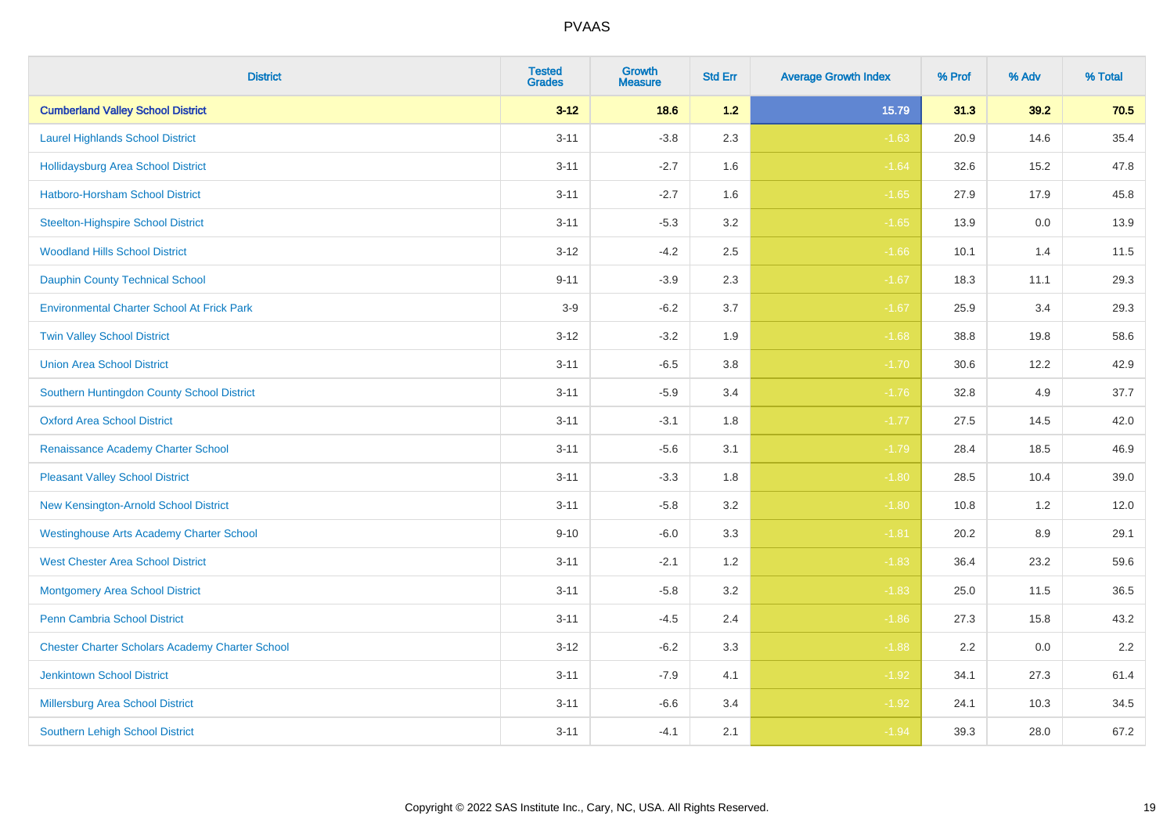| <b>District</b>                                        | <b>Tested</b><br><b>Grades</b> | <b>Growth</b><br><b>Measure</b> | <b>Std Err</b> | <b>Average Growth Index</b> | % Prof | % Adv   | % Total |
|--------------------------------------------------------|--------------------------------|---------------------------------|----------------|-----------------------------|--------|---------|---------|
| <b>Cumberland Valley School District</b>               | $3 - 12$                       | 18.6                            | $1.2$          | 15.79                       | 31.3   | 39.2    | 70.5    |
| <b>Laurel Highlands School District</b>                | $3 - 11$                       | $-3.8$                          | 2.3            | $-1.63$                     | 20.9   | 14.6    | 35.4    |
| <b>Hollidaysburg Area School District</b>              | $3 - 11$                       | $-2.7$                          | 1.6            | $-1.64$                     | 32.6   | 15.2    | 47.8    |
| Hatboro-Horsham School District                        | $3 - 11$                       | $-2.7$                          | 1.6            | $-1.65$                     | 27.9   | 17.9    | 45.8    |
| <b>Steelton-Highspire School District</b>              | $3 - 11$                       | $-5.3$                          | 3.2            | $-1.65$                     | 13.9   | 0.0     | 13.9    |
| <b>Woodland Hills School District</b>                  | $3 - 12$                       | $-4.2$                          | 2.5            | $-1.66$                     | 10.1   | 1.4     | 11.5    |
| <b>Dauphin County Technical School</b>                 | $9 - 11$                       | $-3.9$                          | 2.3            | $-1.67$                     | 18.3   | 11.1    | 29.3    |
| <b>Environmental Charter School At Frick Park</b>      | $3-9$                          | $-6.2$                          | 3.7            | $-1.67$                     | 25.9   | 3.4     | 29.3    |
| <b>Twin Valley School District</b>                     | $3 - 12$                       | $-3.2$                          | 1.9            | $-1.68$                     | 38.8   | 19.8    | 58.6    |
| <b>Union Area School District</b>                      | $3 - 11$                       | $-6.5$                          | 3.8            | $-1.70$                     | 30.6   | 12.2    | 42.9    |
| Southern Huntingdon County School District             | $3 - 11$                       | $-5.9$                          | 3.4            | $-1.76$                     | 32.8   | 4.9     | 37.7    |
| <b>Oxford Area School District</b>                     | $3 - 11$                       | $-3.1$                          | 1.8            | $-1.77$                     | 27.5   | 14.5    | 42.0    |
| Renaissance Academy Charter School                     | $3 - 11$                       | $-5.6$                          | 3.1            | $-1.79$                     | 28.4   | 18.5    | 46.9    |
| <b>Pleasant Valley School District</b>                 | $3 - 11$                       | $-3.3$                          | 1.8            | $-1.80$                     | 28.5   | 10.4    | 39.0    |
| New Kensington-Arnold School District                  | $3 - 11$                       | $-5.8$                          | 3.2            | $-1.80$                     | 10.8   | 1.2     | 12.0    |
| <b>Westinghouse Arts Academy Charter School</b>        | $9 - 10$                       | $-6.0$                          | 3.3            | $-1.81$                     | 20.2   | $8.9\,$ | 29.1    |
| <b>West Chester Area School District</b>               | $3 - 11$                       | $-2.1$                          | 1.2            | $-1.83$                     | 36.4   | 23.2    | 59.6    |
| <b>Montgomery Area School District</b>                 | $3 - 11$                       | $-5.8$                          | 3.2            | $-1.83$                     | 25.0   | 11.5    | 36.5    |
| <b>Penn Cambria School District</b>                    | $3 - 11$                       | $-4.5$                          | 2.4            | $-1.86$                     | 27.3   | 15.8    | 43.2    |
| <b>Chester Charter Scholars Academy Charter School</b> | $3 - 12$                       | $-6.2$                          | 3.3            | $-1.88$                     | 2.2    | 0.0     | 2.2     |
| <b>Jenkintown School District</b>                      | $3 - 11$                       | $-7.9$                          | 4.1            | $-1.92$                     | 34.1   | 27.3    | 61.4    |
| Millersburg Area School District                       | $3 - 11$                       | $-6.6$                          | 3.4            | $-1.92$                     | 24.1   | 10.3    | 34.5    |
| <b>Southern Lehigh School District</b>                 | $3 - 11$                       | $-4.1$                          | 2.1            | $-1.94$                     | 39.3   | 28.0    | 67.2    |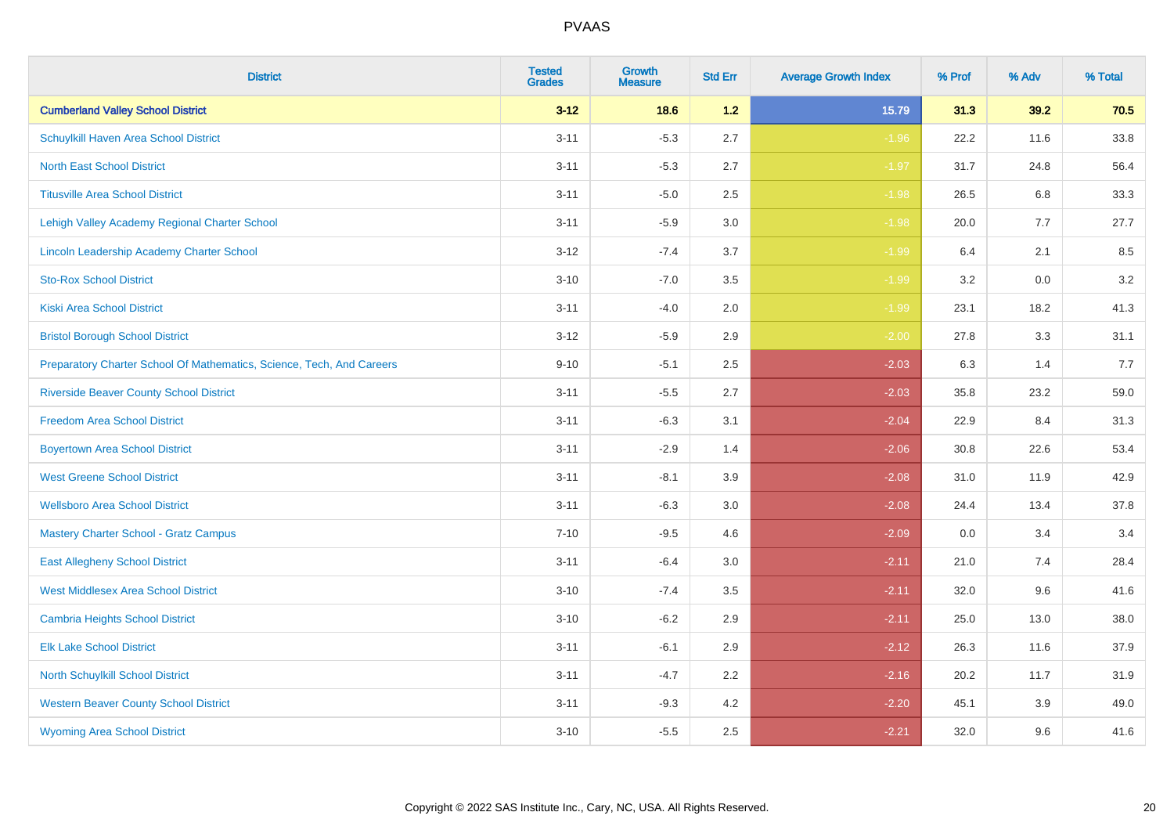| <b>District</b>                                                       | <b>Tested</b><br><b>Grades</b> | <b>Growth</b><br><b>Measure</b> | <b>Std Err</b> | <b>Average Growth Index</b> | % Prof | % Adv   | % Total |
|-----------------------------------------------------------------------|--------------------------------|---------------------------------|----------------|-----------------------------|--------|---------|---------|
| <b>Cumberland Valley School District</b>                              | $3 - 12$                       | 18.6                            | $1.2$          | 15.79                       | 31.3   | 39.2    | 70.5    |
| Schuylkill Haven Area School District                                 | $3 - 11$                       | $-5.3$                          | 2.7            | $-1.96$                     | 22.2   | 11.6    | 33.8    |
| <b>North East School District</b>                                     | $3 - 11$                       | $-5.3$                          | 2.7            | $-1.97$                     | 31.7   | 24.8    | 56.4    |
| <b>Titusville Area School District</b>                                | $3 - 11$                       | $-5.0$                          | 2.5            | $-1.98$                     | 26.5   | 6.8     | 33.3    |
| Lehigh Valley Academy Regional Charter School                         | $3 - 11$                       | $-5.9$                          | 3.0            | $-1.98$                     | 20.0   | 7.7     | 27.7    |
| Lincoln Leadership Academy Charter School                             | $3 - 12$                       | $-7.4$                          | 3.7            | $-1.99$                     | 6.4    | 2.1     | 8.5     |
| <b>Sto-Rox School District</b>                                        | $3 - 10$                       | $-7.0$                          | 3.5            | $-1.99$                     | 3.2    | $0.0\,$ | 3.2     |
| <b>Kiski Area School District</b>                                     | $3 - 11$                       | $-4.0$                          | 2.0            | $-1.99$                     | 23.1   | 18.2    | 41.3    |
| <b>Bristol Borough School District</b>                                | $3 - 12$                       | $-5.9$                          | 2.9            | $-2.00$                     | 27.8   | 3.3     | 31.1    |
| Preparatory Charter School Of Mathematics, Science, Tech, And Careers | $9 - 10$                       | $-5.1$                          | $2.5\,$        | $-2.03$                     | 6.3    | 1.4     | 7.7     |
| <b>Riverside Beaver County School District</b>                        | $3 - 11$                       | $-5.5$                          | 2.7            | $-2.03$                     | 35.8   | 23.2    | 59.0    |
| <b>Freedom Area School District</b>                                   | $3 - 11$                       | $-6.3$                          | 3.1            | $-2.04$                     | 22.9   | 8.4     | 31.3    |
| <b>Boyertown Area School District</b>                                 | $3 - 11$                       | $-2.9$                          | 1.4            | $-2.06$                     | 30.8   | 22.6    | 53.4    |
| <b>West Greene School District</b>                                    | $3 - 11$                       | $-8.1$                          | 3.9            | $-2.08$                     | 31.0   | 11.9    | 42.9    |
| <b>Wellsboro Area School District</b>                                 | $3 - 11$                       | $-6.3$                          | 3.0            | $-2.08$                     | 24.4   | 13.4    | 37.8    |
| <b>Mastery Charter School - Gratz Campus</b>                          | $7 - 10$                       | $-9.5$                          | 4.6            | $-2.09$                     | 0.0    | 3.4     | 3.4     |
| <b>East Allegheny School District</b>                                 | $3 - 11$                       | $-6.4$                          | 3.0            | $-2.11$                     | 21.0   | 7.4     | 28.4    |
| <b>West Middlesex Area School District</b>                            | $3 - 10$                       | $-7.4$                          | 3.5            | $-2.11$                     | 32.0   | 9.6     | 41.6    |
| <b>Cambria Heights School District</b>                                | $3 - 10$                       | $-6.2$                          | 2.9            | $-2.11$                     | 25.0   | 13.0    | 38.0    |
| <b>Elk Lake School District</b>                                       | $3 - 11$                       | $-6.1$                          | 2.9            | $-2.12$                     | 26.3   | 11.6    | 37.9    |
| North Schuylkill School District                                      | $3 - 11$                       | $-4.7$                          | 2.2            | $-2.16$                     | 20.2   | 11.7    | 31.9    |
| <b>Western Beaver County School District</b>                          | $3 - 11$                       | $-9.3$                          | 4.2            | $-2.20$                     | 45.1   | 3.9     | 49.0    |
| <b>Wyoming Area School District</b>                                   | $3 - 10$                       | $-5.5$                          | 2.5            | $-2.21$                     | 32.0   | 9.6     | 41.6    |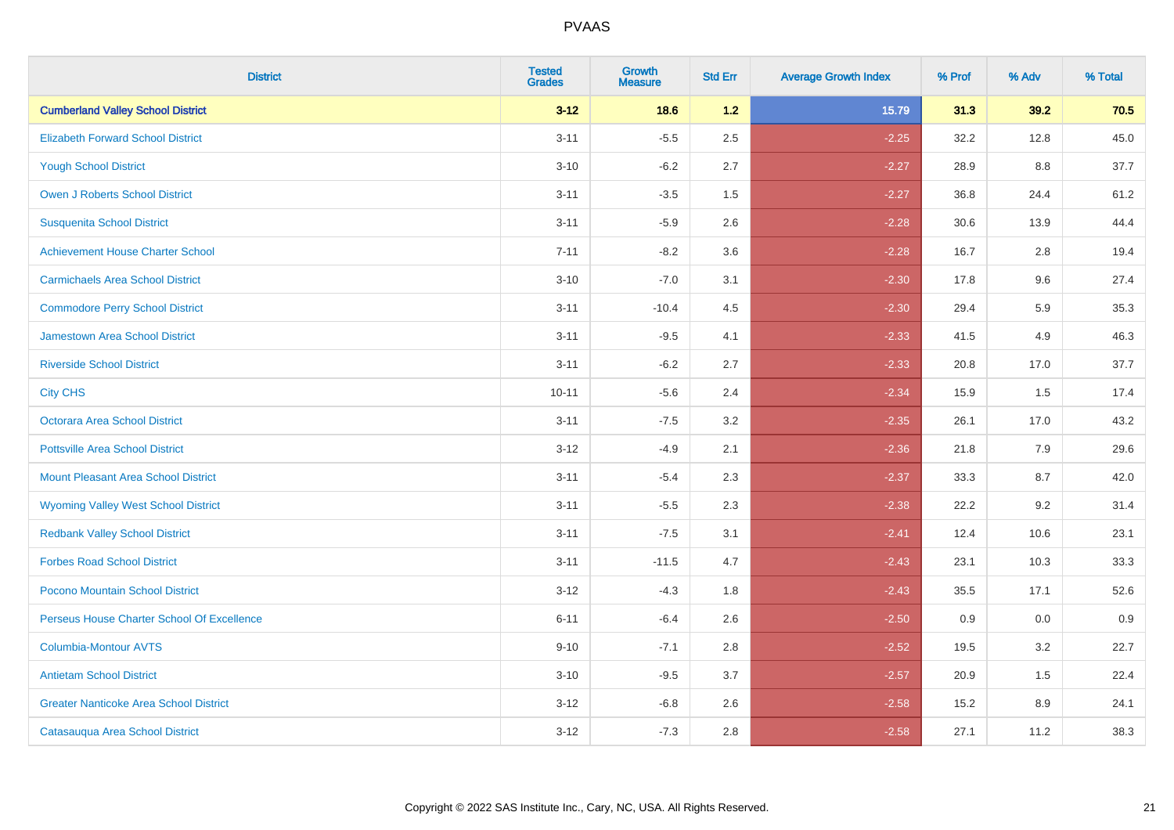| <b>District</b>                               | <b>Tested</b><br><b>Grades</b> | <b>Growth</b><br><b>Measure</b> | <b>Std Err</b> | <b>Average Growth Index</b> | % Prof | % Adv | % Total |
|-----------------------------------------------|--------------------------------|---------------------------------|----------------|-----------------------------|--------|-------|---------|
| <b>Cumberland Valley School District</b>      | $3 - 12$                       | 18.6                            | $1.2$          | 15.79                       | 31.3   | 39.2  | 70.5    |
| <b>Elizabeth Forward School District</b>      | $3 - 11$                       | $-5.5$                          | 2.5            | $-2.25$                     | 32.2   | 12.8  | 45.0    |
| <b>Yough School District</b>                  | $3 - 10$                       | $-6.2$                          | 2.7            | $-2.27$                     | 28.9   | 8.8   | 37.7    |
| Owen J Roberts School District                | $3 - 11$                       | $-3.5$                          | 1.5            | $-2.27$                     | 36.8   | 24.4  | 61.2    |
| <b>Susquenita School District</b>             | $3 - 11$                       | $-5.9$                          | 2.6            | $-2.28$                     | 30.6   | 13.9  | 44.4    |
| <b>Achievement House Charter School</b>       | $7 - 11$                       | $-8.2$                          | 3.6            | $-2.28$                     | 16.7   | 2.8   | 19.4    |
| <b>Carmichaels Area School District</b>       | $3 - 10$                       | $-7.0$                          | 3.1            | $-2.30$                     | 17.8   | 9.6   | 27.4    |
| <b>Commodore Perry School District</b>        | $3 - 11$                       | $-10.4$                         | 4.5            | $-2.30$                     | 29.4   | 5.9   | 35.3    |
| Jamestown Area School District                | $3 - 11$                       | $-9.5$                          | 4.1            | $-2.33$                     | 41.5   | 4.9   | 46.3    |
| <b>Riverside School District</b>              | $3 - 11$                       | $-6.2$                          | 2.7            | $-2.33$                     | 20.8   | 17.0  | 37.7    |
| <b>City CHS</b>                               | $10 - 11$                      | $-5.6$                          | 2.4            | $-2.34$                     | 15.9   | 1.5   | 17.4    |
| <b>Octorara Area School District</b>          | $3 - 11$                       | $-7.5$                          | 3.2            | $-2.35$                     | 26.1   | 17.0  | 43.2    |
| <b>Pottsville Area School District</b>        | $3 - 12$                       | $-4.9$                          | 2.1            | $-2.36$                     | 21.8   | 7.9   | 29.6    |
| <b>Mount Pleasant Area School District</b>    | $3 - 11$                       | $-5.4$                          | 2.3            | $-2.37$                     | 33.3   | 8.7   | 42.0    |
| <b>Wyoming Valley West School District</b>    | $3 - 11$                       | $-5.5$                          | 2.3            | $-2.38$                     | 22.2   | 9.2   | 31.4    |
| <b>Redbank Valley School District</b>         | $3 - 11$                       | $-7.5$                          | 3.1            | $-2.41$                     | 12.4   | 10.6  | 23.1    |
| <b>Forbes Road School District</b>            | $3 - 11$                       | $-11.5$                         | 4.7            | $-2.43$                     | 23.1   | 10.3  | 33.3    |
| Pocono Mountain School District               | $3 - 12$                       | $-4.3$                          | 1.8            | $-2.43$                     | 35.5   | 17.1  | 52.6    |
| Perseus House Charter School Of Excellence    | $6 - 11$                       | $-6.4$                          | 2.6            | $-2.50$                     | 0.9    | 0.0   | 0.9     |
| <b>Columbia-Montour AVTS</b>                  | $9 - 10$                       | $-7.1$                          | 2.8            | $-2.52$                     | 19.5   | 3.2   | 22.7    |
| <b>Antietam School District</b>               | $3 - 10$                       | $-9.5$                          | 3.7            | $-2.57$                     | 20.9   | 1.5   | 22.4    |
| <b>Greater Nanticoke Area School District</b> | $3 - 12$                       | $-6.8$                          | 2.6            | $-2.58$                     | 15.2   | 8.9   | 24.1    |
| Catasauqua Area School District               | $3 - 12$                       | $-7.3$                          | 2.8            | $-2.58$                     | 27.1   | 11.2  | 38.3    |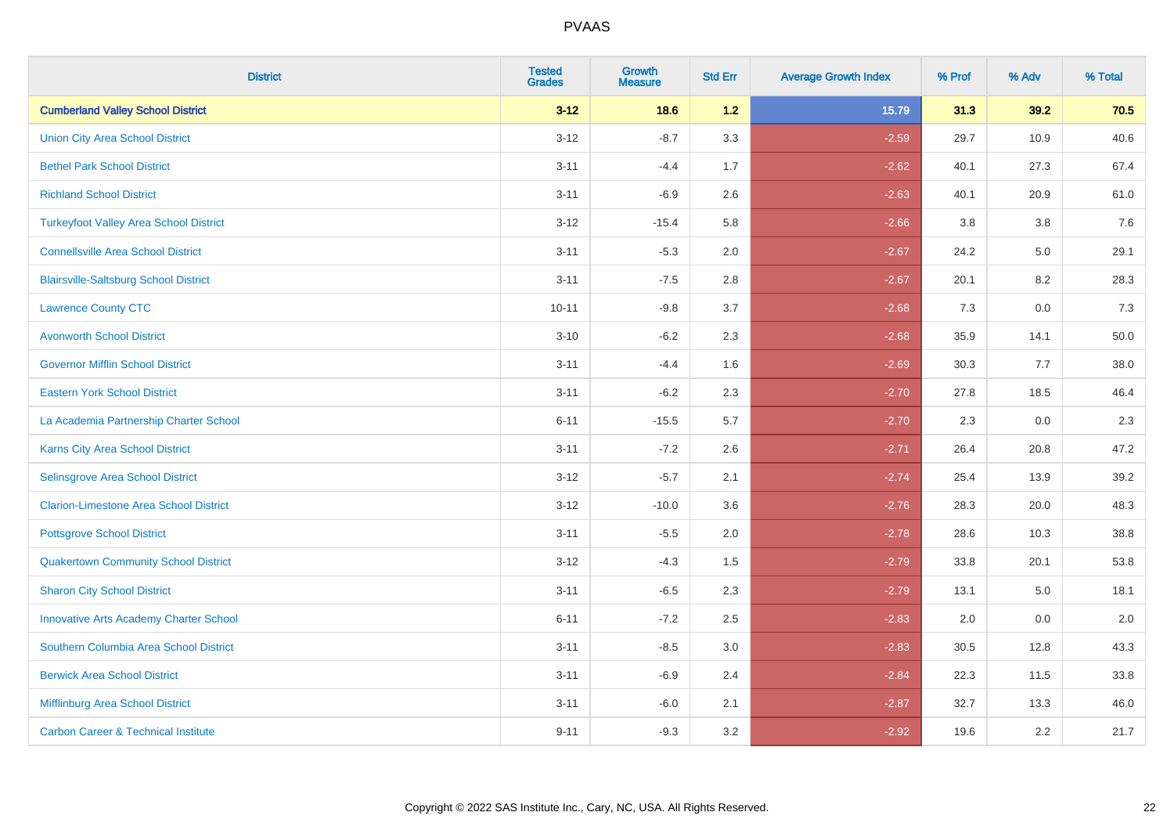| <b>District</b>                                | <b>Tested</b><br><b>Grades</b> | <b>Growth</b><br><b>Measure</b> | <b>Std Err</b> | <b>Average Growth Index</b> | % Prof | % Adv   | % Total |
|------------------------------------------------|--------------------------------|---------------------------------|----------------|-----------------------------|--------|---------|---------|
| <b>Cumberland Valley School District</b>       | $3 - 12$                       | 18.6                            | 1.2            | 15.79                       | 31.3   | 39.2    | 70.5    |
| <b>Union City Area School District</b>         | $3 - 12$                       | $-8.7$                          | 3.3            | $-2.59$                     | 29.7   | 10.9    | 40.6    |
| <b>Bethel Park School District</b>             | $3 - 11$                       | $-4.4$                          | 1.7            | $-2.62$                     | 40.1   | 27.3    | 67.4    |
| <b>Richland School District</b>                | $3 - 11$                       | $-6.9$                          | 2.6            | $-2.63$                     | 40.1   | 20.9    | 61.0    |
| <b>Turkeyfoot Valley Area School District</b>  | $3 - 12$                       | $-15.4$                         | 5.8            | $-2.66$                     | 3.8    | 3.8     | 7.6     |
| <b>Connellsville Area School District</b>      | $3 - 11$                       | $-5.3$                          | 2.0            | $-2.67$                     | 24.2   | $5.0\,$ | 29.1    |
| <b>Blairsville-Saltsburg School District</b>   | $3 - 11$                       | $-7.5$                          | 2.8            | $-2.67$                     | 20.1   | 8.2     | 28.3    |
| <b>Lawrence County CTC</b>                     | $10 - 11$                      | $-9.8$                          | 3.7            | $-2.68$                     | 7.3    | 0.0     | 7.3     |
| <b>Avonworth School District</b>               | $3 - 10$                       | $-6.2$                          | 2.3            | $-2.68$                     | 35.9   | 14.1    | 50.0    |
| <b>Governor Mifflin School District</b>        | $3 - 11$                       | $-4.4$                          | 1.6            | $-2.69$                     | 30.3   | 7.7     | 38.0    |
| <b>Eastern York School District</b>            | $3 - 11$                       | $-6.2$                          | 2.3            | $-2.70$                     | 27.8   | 18.5    | 46.4    |
| La Academia Partnership Charter School         | $6 - 11$                       | $-15.5$                         | 5.7            | $-2.70$                     | 2.3    | 0.0     | 2.3     |
| Karns City Area School District                | $3 - 11$                       | $-7.2$                          | 2.6            | $-2.71$                     | 26.4   | 20.8    | 47.2    |
| Selinsgrove Area School District               | $3 - 12$                       | $-5.7$                          | 2.1            | $-2.74$                     | 25.4   | 13.9    | 39.2    |
| <b>Clarion-Limestone Area School District</b>  | $3 - 12$                       | $-10.0$                         | 3.6            | $-2.76$                     | 28.3   | 20.0    | 48.3    |
| <b>Pottsgrove School District</b>              | $3 - 11$                       | $-5.5$                          | 2.0            | $-2.78$                     | 28.6   | 10.3    | 38.8    |
| <b>Quakertown Community School District</b>    | $3 - 12$                       | $-4.3$                          | 1.5            | $-2.79$                     | 33.8   | 20.1    | 53.8    |
| <b>Sharon City School District</b>             | $3 - 11$                       | $-6.5$                          | 2.3            | $-2.79$                     | 13.1   | 5.0     | 18.1    |
| <b>Innovative Arts Academy Charter School</b>  | $6 - 11$                       | $-7.2$                          | 2.5            | $-2.83$                     | 2.0    | 0.0     | 2.0     |
| Southern Columbia Area School District         | $3 - 11$                       | $-8.5$                          | 3.0            | $-2.83$                     | 30.5   | 12.8    | 43.3    |
| <b>Berwick Area School District</b>            | $3 - 11$                       | $-6.9$                          | 2.4            | $-2.84$                     | 22.3   | 11.5    | 33.8    |
| Mifflinburg Area School District               | $3 - 11$                       | $-6.0$                          | 2.1            | $-2.87$                     | 32.7   | 13.3    | 46.0    |
| <b>Carbon Career &amp; Technical Institute</b> | $9 - 11$                       | $-9.3$                          | 3.2            | $-2.92$                     | 19.6   | 2.2     | 21.7    |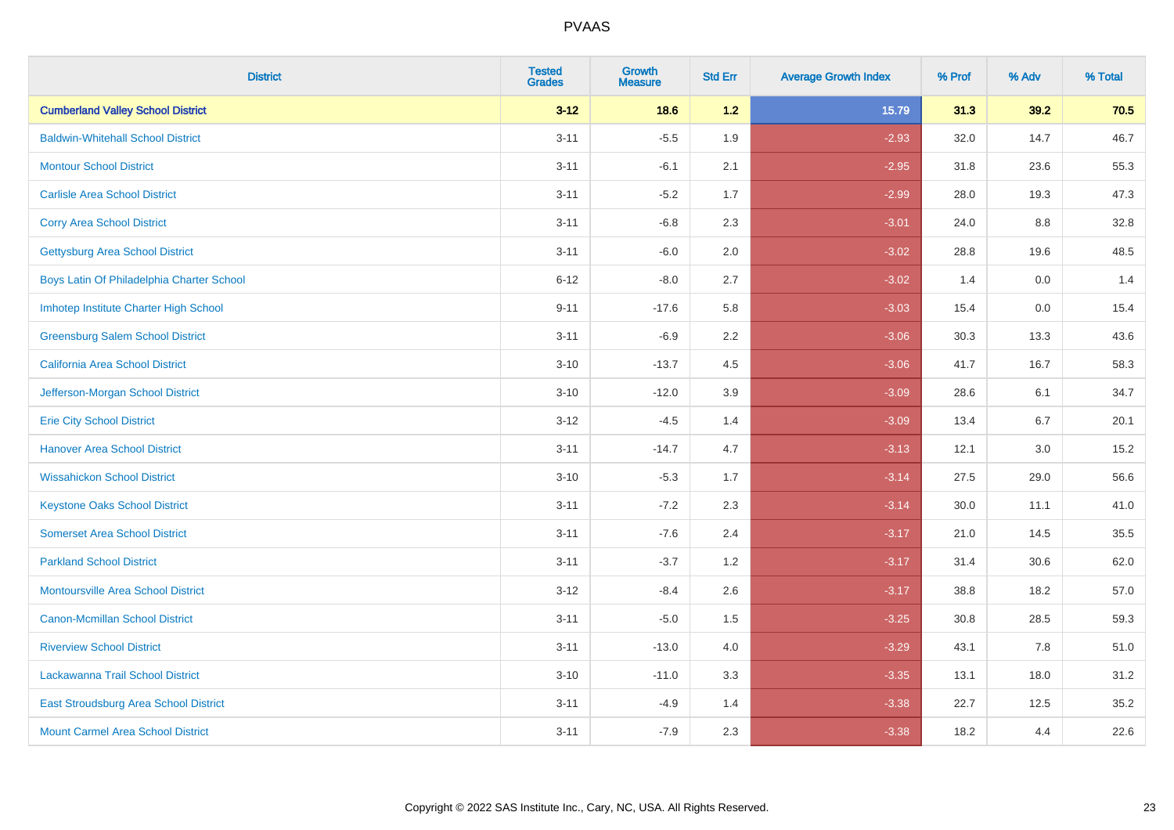| <b>District</b>                           | <b>Tested</b><br><b>Grades</b> | <b>Growth</b><br><b>Measure</b> | <b>Std Err</b> | <b>Average Growth Index</b> | % Prof | % Adv   | % Total |
|-------------------------------------------|--------------------------------|---------------------------------|----------------|-----------------------------|--------|---------|---------|
| <b>Cumberland Valley School District</b>  | $3 - 12$                       | 18.6                            | 1.2            | 15.79                       | 31.3   | 39.2    | 70.5    |
| <b>Baldwin-Whitehall School District</b>  | $3 - 11$                       | $-5.5$                          | 1.9            | $-2.93$                     | 32.0   | 14.7    | 46.7    |
| <b>Montour School District</b>            | $3 - 11$                       | $-6.1$                          | 2.1            | $-2.95$                     | 31.8   | 23.6    | 55.3    |
| <b>Carlisle Area School District</b>      | $3 - 11$                       | $-5.2$                          | 1.7            | $-2.99$                     | 28.0   | 19.3    | 47.3    |
| <b>Corry Area School District</b>         | $3 - 11$                       | $-6.8$                          | 2.3            | $-3.01$                     | 24.0   | 8.8     | 32.8    |
| <b>Gettysburg Area School District</b>    | $3 - 11$                       | $-6.0$                          | 2.0            | $-3.02$                     | 28.8   | 19.6    | 48.5    |
| Boys Latin Of Philadelphia Charter School | $6 - 12$                       | $-8.0$                          | 2.7            | $-3.02$                     | 1.4    | 0.0     | 1.4     |
| Imhotep Institute Charter High School     | $9 - 11$                       | $-17.6$                         | 5.8            | $-3.03$                     | 15.4   | 0.0     | 15.4    |
| <b>Greensburg Salem School District</b>   | $3 - 11$                       | $-6.9$                          | 2.2            | $-3.06$                     | 30.3   | 13.3    | 43.6    |
| California Area School District           | $3 - 10$                       | $-13.7$                         | 4.5            | $-3.06$                     | 41.7   | 16.7    | 58.3    |
| Jefferson-Morgan School District          | $3 - 10$                       | $-12.0$                         | 3.9            | $-3.09$                     | 28.6   | 6.1     | 34.7    |
| <b>Erie City School District</b>          | $3 - 12$                       | $-4.5$                          | 1.4            | $-3.09$                     | 13.4   | 6.7     | 20.1    |
| <b>Hanover Area School District</b>       | $3 - 11$                       | $-14.7$                         | 4.7            | $-3.13$                     | 12.1   | $3.0\,$ | 15.2    |
| <b>Wissahickon School District</b>        | $3 - 10$                       | $-5.3$                          | 1.7            | $-3.14$                     | 27.5   | 29.0    | 56.6    |
| <b>Keystone Oaks School District</b>      | $3 - 11$                       | $-7.2$                          | 2.3            | $-3.14$                     | 30.0   | 11.1    | 41.0    |
| <b>Somerset Area School District</b>      | $3 - 11$                       | $-7.6$                          | 2.4            | $-3.17$                     | 21.0   | 14.5    | 35.5    |
| <b>Parkland School District</b>           | $3 - 11$                       | $-3.7$                          | 1.2            | $-3.17$                     | 31.4   | 30.6    | 62.0    |
| <b>Montoursville Area School District</b> | $3 - 12$                       | $-8.4$                          | 2.6            | $-3.17$                     | 38.8   | 18.2    | 57.0    |
| <b>Canon-Mcmillan School District</b>     | $3 - 11$                       | $-5.0$                          | 1.5            | $-3.25$                     | 30.8   | 28.5    | 59.3    |
| <b>Riverview School District</b>          | $3 - 11$                       | $-13.0$                         | 4.0            | $-3.29$                     | 43.1   | 7.8     | 51.0    |
| Lackawanna Trail School District          | $3 - 10$                       | $-11.0$                         | 3.3            | $-3.35$                     | 13.1   | 18.0    | 31.2    |
| East Stroudsburg Area School District     | $3 - 11$                       | $-4.9$                          | 1.4            | $-3.38$                     | 22.7   | 12.5    | 35.2    |
| <b>Mount Carmel Area School District</b>  | $3 - 11$                       | $-7.9$                          | 2.3            | $-3.38$                     | 18.2   | 4.4     | 22.6    |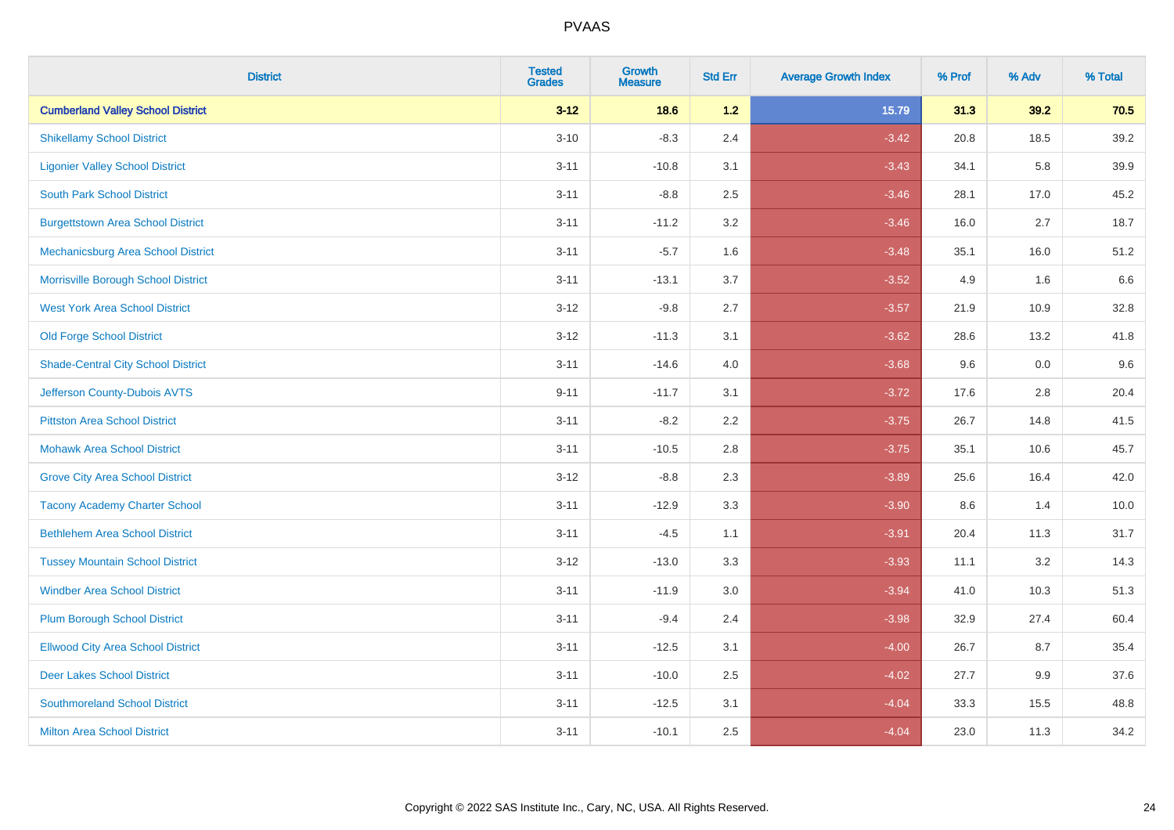| <b>District</b>                           | <b>Tested</b><br><b>Grades</b> | <b>Growth</b><br><b>Measure</b> | <b>Std Err</b> | <b>Average Growth Index</b> | % Prof | % Adv | % Total |
|-------------------------------------------|--------------------------------|---------------------------------|----------------|-----------------------------|--------|-------|---------|
| <b>Cumberland Valley School District</b>  | $3 - 12$                       | 18.6                            | 1.2            | 15.79                       | 31.3   | 39.2  | 70.5    |
| <b>Shikellamy School District</b>         | $3 - 10$                       | $-8.3$                          | 2.4            | $-3.42$                     | 20.8   | 18.5  | 39.2    |
| <b>Ligonier Valley School District</b>    | $3 - 11$                       | $-10.8$                         | 3.1            | $-3.43$                     | 34.1   | 5.8   | 39.9    |
| <b>South Park School District</b>         | $3 - 11$                       | $-8.8$                          | 2.5            | $-3.46$                     | 28.1   | 17.0  | 45.2    |
| <b>Burgettstown Area School District</b>  | $3 - 11$                       | $-11.2$                         | 3.2            | $-3.46$                     | 16.0   | 2.7   | 18.7    |
| <b>Mechanicsburg Area School District</b> | $3 - 11$                       | $-5.7$                          | 1.6            | $-3.48$                     | 35.1   | 16.0  | 51.2    |
| Morrisville Borough School District       | $3 - 11$                       | $-13.1$                         | 3.7            | $-3.52$                     | 4.9    | 1.6   | 6.6     |
| <b>West York Area School District</b>     | $3 - 12$                       | $-9.8$                          | 2.7            | $-3.57$                     | 21.9   | 10.9  | 32.8    |
| <b>Old Forge School District</b>          | $3 - 12$                       | $-11.3$                         | 3.1            | $-3.62$                     | 28.6   | 13.2  | 41.8    |
| <b>Shade-Central City School District</b> | $3 - 11$                       | $-14.6$                         | 4.0            | $-3.68$                     | 9.6    | 0.0   | 9.6     |
| Jefferson County-Dubois AVTS              | $9 - 11$                       | $-11.7$                         | 3.1            | $-3.72$                     | 17.6   | 2.8   | 20.4    |
| <b>Pittston Area School District</b>      | $3 - 11$                       | $-8.2$                          | 2.2            | $-3.75$                     | 26.7   | 14.8  | 41.5    |
| <b>Mohawk Area School District</b>        | $3 - 11$                       | $-10.5$                         | 2.8            | $-3.75$                     | 35.1   | 10.6  | 45.7    |
| <b>Grove City Area School District</b>    | $3 - 12$                       | $-8.8$                          | 2.3            | $-3.89$                     | 25.6   | 16.4  | 42.0    |
| <b>Tacony Academy Charter School</b>      | $3 - 11$                       | $-12.9$                         | 3.3            | $-3.90$                     | 8.6    | 1.4   | 10.0    |
| <b>Bethlehem Area School District</b>     | $3 - 11$                       | $-4.5$                          | 1.1            | $-3.91$                     | 20.4   | 11.3  | 31.7    |
| <b>Tussey Mountain School District</b>    | $3 - 12$                       | $-13.0$                         | 3.3            | $-3.93$                     | 11.1   | 3.2   | 14.3    |
| <b>Windber Area School District</b>       | $3 - 11$                       | $-11.9$                         | 3.0            | $-3.94$                     | 41.0   | 10.3  | 51.3    |
| <b>Plum Borough School District</b>       | $3 - 11$                       | $-9.4$                          | 2.4            | $-3.98$                     | 32.9   | 27.4  | 60.4    |
| <b>Ellwood City Area School District</b>  | $3 - 11$                       | $-12.5$                         | 3.1            | $-4.00$                     | 26.7   | 8.7   | 35.4    |
| <b>Deer Lakes School District</b>         | $3 - 11$                       | $-10.0$                         | 2.5            | $-4.02$                     | 27.7   | 9.9   | 37.6    |
| <b>Southmoreland School District</b>      | $3 - 11$                       | $-12.5$                         | 3.1            | $-4.04$                     | 33.3   | 15.5  | 48.8    |
| <b>Milton Area School District</b>        | $3 - 11$                       | $-10.1$                         | 2.5            | $-4.04$                     | 23.0   | 11.3  | 34.2    |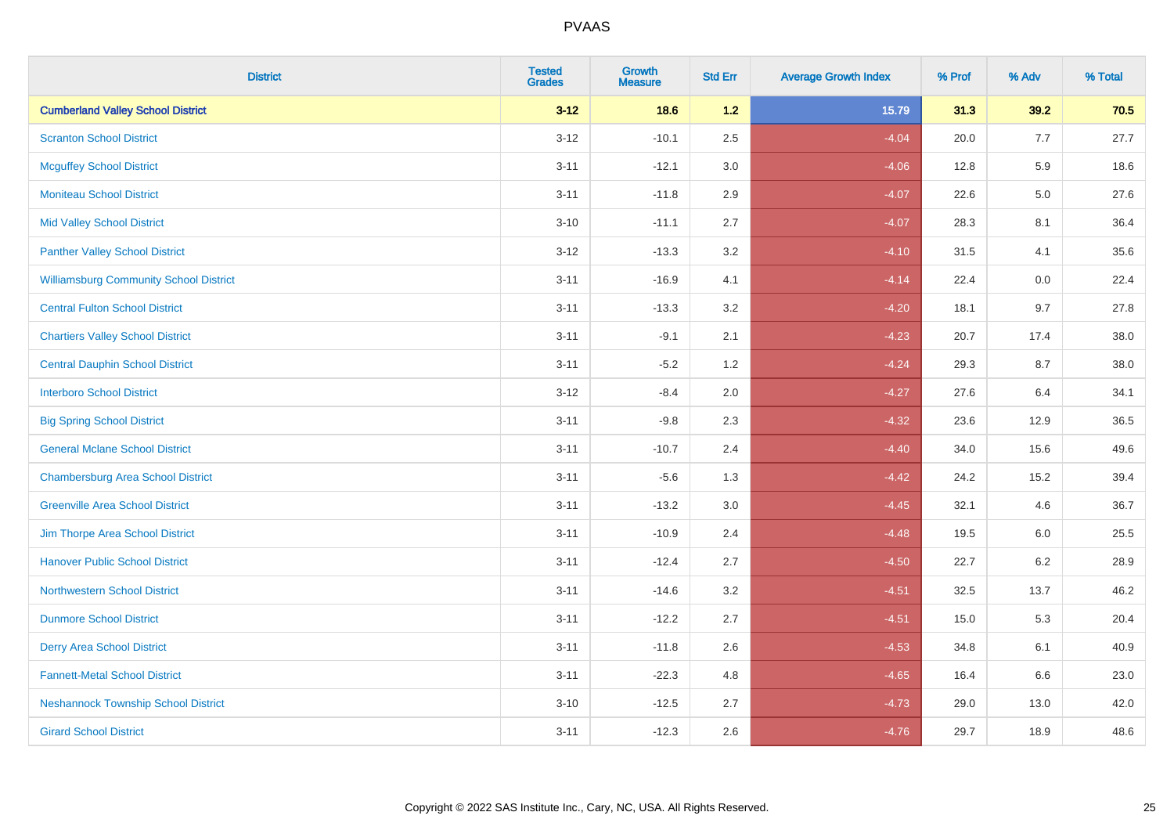| <b>District</b>                               | <b>Tested</b><br>Grades | <b>Growth</b><br><b>Measure</b> | <b>Std Err</b> | <b>Average Growth Index</b> | % Prof | % Adv   | % Total |
|-----------------------------------------------|-------------------------|---------------------------------|----------------|-----------------------------|--------|---------|---------|
| <b>Cumberland Valley School District</b>      | $3 - 12$                | 18.6                            | 1.2            | 15.79                       | 31.3   | 39.2    | 70.5    |
| <b>Scranton School District</b>               | $3 - 12$                | $-10.1$                         | 2.5            | $-4.04$                     | 20.0   | 7.7     | 27.7    |
| <b>Mcguffey School District</b>               | $3 - 11$                | $-12.1$                         | 3.0            | $-4.06$                     | 12.8   | 5.9     | 18.6    |
| <b>Moniteau School District</b>               | $3 - 11$                | $-11.8$                         | 2.9            | $-4.07$                     | 22.6   | $5.0\,$ | 27.6    |
| <b>Mid Valley School District</b>             | $3 - 10$                | $-11.1$                         | 2.7            | $-4.07$                     | 28.3   | 8.1     | 36.4    |
| <b>Panther Valley School District</b>         | $3 - 12$                | $-13.3$                         | 3.2            | $-4.10$                     | 31.5   | 4.1     | 35.6    |
| <b>Williamsburg Community School District</b> | $3 - 11$                | $-16.9$                         | 4.1            | $-4.14$                     | 22.4   | 0.0     | 22.4    |
| <b>Central Fulton School District</b>         | $3 - 11$                | $-13.3$                         | 3.2            | $-4.20$                     | 18.1   | 9.7     | 27.8    |
| <b>Chartiers Valley School District</b>       | $3 - 11$                | $-9.1$                          | 2.1            | $-4.23$                     | 20.7   | 17.4    | 38.0    |
| <b>Central Dauphin School District</b>        | $3 - 11$                | $-5.2$                          | 1.2            | $-4.24$                     | 29.3   | 8.7     | 38.0    |
| <b>Interboro School District</b>              | $3-12$                  | $-8.4$                          | 2.0            | $-4.27$                     | 27.6   | 6.4     | 34.1    |
| <b>Big Spring School District</b>             | $3 - 11$                | $-9.8$                          | 2.3            | $-4.32$                     | 23.6   | 12.9    | 36.5    |
| <b>General Mclane School District</b>         | $3 - 11$                | $-10.7$                         | 2.4            | $-4.40$                     | 34.0   | 15.6    | 49.6    |
| <b>Chambersburg Area School District</b>      | $3 - 11$                | $-5.6$                          | 1.3            | $-4.42$                     | 24.2   | 15.2    | 39.4    |
| <b>Greenville Area School District</b>        | $3 - 11$                | $-13.2$                         | $3.0\,$        | $-4.45$                     | 32.1   | 4.6     | 36.7    |
| Jim Thorpe Area School District               | $3 - 11$                | $-10.9$                         | 2.4            | $-4.48$                     | 19.5   | 6.0     | 25.5    |
| <b>Hanover Public School District</b>         | $3 - 11$                | $-12.4$                         | 2.7            | $-4.50$                     | 22.7   | $6.2\,$ | 28.9    |
| <b>Northwestern School District</b>           | $3 - 11$                | $-14.6$                         | 3.2            | $-4.51$                     | 32.5   | 13.7    | 46.2    |
| <b>Dunmore School District</b>                | $3 - 11$                | $-12.2$                         | 2.7            | $-4.51$                     | 15.0   | 5.3     | 20.4    |
| <b>Derry Area School District</b>             | $3 - 11$                | $-11.8$                         | 2.6            | $-4.53$                     | 34.8   | 6.1     | 40.9    |
| <b>Fannett-Metal School District</b>          | $3 - 11$                | $-22.3$                         | 4.8            | $-4.65$                     | 16.4   | 6.6     | 23.0    |
| <b>Neshannock Township School District</b>    | $3 - 10$                | $-12.5$                         | 2.7            | $-4.73$                     | 29.0   | 13.0    | 42.0    |
| <b>Girard School District</b>                 | $3 - 11$                | $-12.3$                         | 2.6            | $-4.76$                     | 29.7   | 18.9    | 48.6    |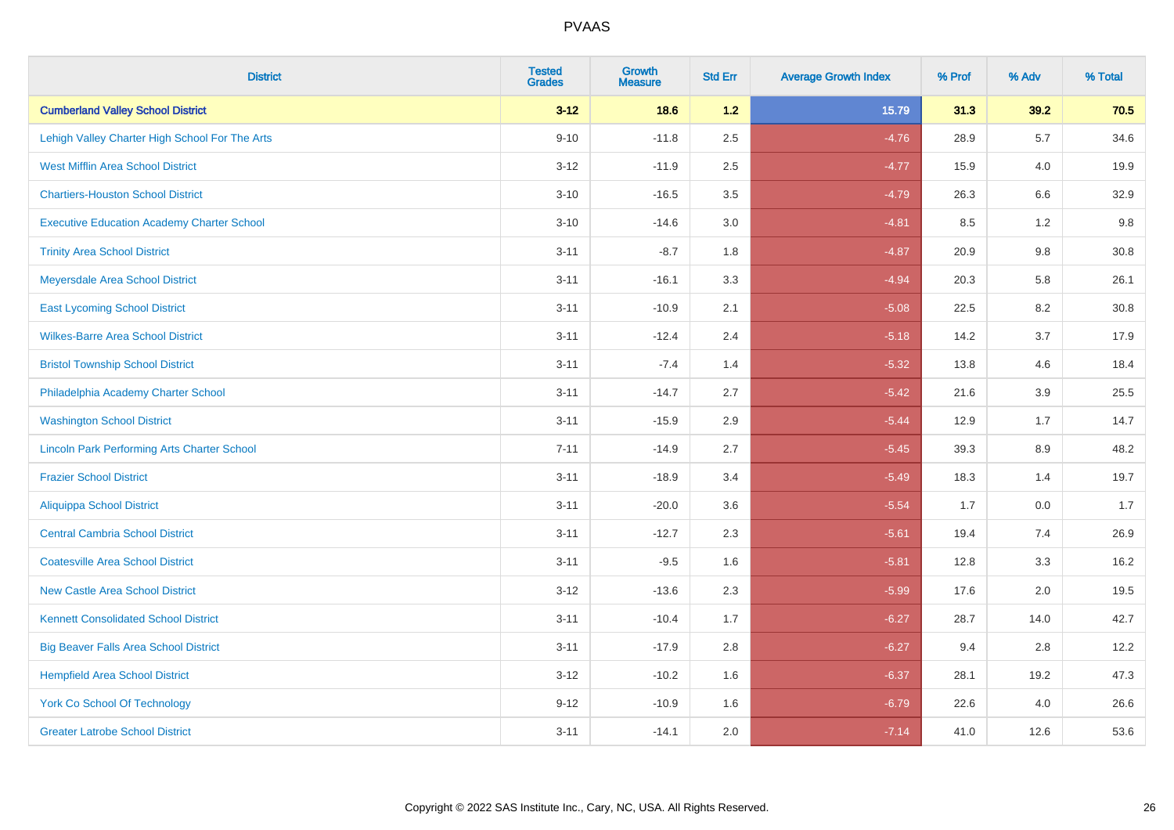| <b>District</b>                                    | <b>Tested</b><br><b>Grades</b> | <b>Growth</b><br><b>Measure</b> | <b>Std Err</b> | <b>Average Growth Index</b> | % Prof | % Adv   | % Total |
|----------------------------------------------------|--------------------------------|---------------------------------|----------------|-----------------------------|--------|---------|---------|
| <b>Cumberland Valley School District</b>           | $3 - 12$                       | 18.6                            | $1.2$          | 15.79                       | 31.3   | 39.2    | 70.5    |
| Lehigh Valley Charter High School For The Arts     | $9 - 10$                       | $-11.8$                         | 2.5            | $-4.76$                     | 28.9   | 5.7     | 34.6    |
| <b>West Mifflin Area School District</b>           | $3 - 12$                       | $-11.9$                         | 2.5            | $-4.77$                     | 15.9   | 4.0     | 19.9    |
| <b>Chartiers-Houston School District</b>           | $3 - 10$                       | $-16.5$                         | 3.5            | $-4.79$                     | 26.3   | $6.6\,$ | 32.9    |
| <b>Executive Education Academy Charter School</b>  | $3 - 10$                       | $-14.6$                         | 3.0            | $-4.81$                     | 8.5    | 1.2     | 9.8     |
| <b>Trinity Area School District</b>                | $3 - 11$                       | $-8.7$                          | 1.8            | $-4.87$                     | 20.9   | 9.8     | 30.8    |
| Meyersdale Area School District                    | $3 - 11$                       | $-16.1$                         | 3.3            | $-4.94$                     | 20.3   | 5.8     | 26.1    |
| <b>East Lycoming School District</b>               | $3 - 11$                       | $-10.9$                         | 2.1            | $-5.08$                     | 22.5   | 8.2     | 30.8    |
| <b>Wilkes-Barre Area School District</b>           | $3 - 11$                       | $-12.4$                         | 2.4            | $-5.18$                     | 14.2   | 3.7     | 17.9    |
| <b>Bristol Township School District</b>            | $3 - 11$                       | $-7.4$                          | 1.4            | $-5.32$                     | 13.8   | 4.6     | 18.4    |
| Philadelphia Academy Charter School                | $3 - 11$                       | $-14.7$                         | 2.7            | $-5.42$                     | 21.6   | 3.9     | 25.5    |
| <b>Washington School District</b>                  | $3 - 11$                       | $-15.9$                         | 2.9            | $-5.44$                     | 12.9   | 1.7     | 14.7    |
| <b>Lincoln Park Performing Arts Charter School</b> | $7 - 11$                       | $-14.9$                         | 2.7            | $-5.45$                     | 39.3   | 8.9     | 48.2    |
| <b>Frazier School District</b>                     | $3 - 11$                       | $-18.9$                         | 3.4            | $-5.49$                     | 18.3   | 1.4     | 19.7    |
| <b>Aliquippa School District</b>                   | $3 - 11$                       | $-20.0$                         | 3.6            | $-5.54$                     | 1.7    | 0.0     | 1.7     |
| <b>Central Cambria School District</b>             | $3 - 11$                       | $-12.7$                         | 2.3            | $-5.61$                     | 19.4   | 7.4     | 26.9    |
| <b>Coatesville Area School District</b>            | $3 - 11$                       | $-9.5$                          | 1.6            | $-5.81$                     | 12.8   | 3.3     | 16.2    |
| <b>New Castle Area School District</b>             | $3 - 12$                       | $-13.6$                         | 2.3            | $-5.99$                     | 17.6   | 2.0     | 19.5    |
| <b>Kennett Consolidated School District</b>        | $3 - 11$                       | $-10.4$                         | 1.7            | $-6.27$                     | 28.7   | 14.0    | 42.7    |
| <b>Big Beaver Falls Area School District</b>       | $3 - 11$                       | $-17.9$                         | 2.8            | $-6.27$                     | 9.4    | 2.8     | 12.2    |
| <b>Hempfield Area School District</b>              | $3 - 12$                       | $-10.2$                         | 1.6            | $-6.37$                     | 28.1   | 19.2    | 47.3    |
| <b>York Co School Of Technology</b>                | $9 - 12$                       | $-10.9$                         | 1.6            | $-6.79$                     | 22.6   | 4.0     | 26.6    |
| <b>Greater Latrobe School District</b>             | $3 - 11$                       | $-14.1$                         | 2.0            | $-7.14$                     | 41.0   | 12.6    | 53.6    |